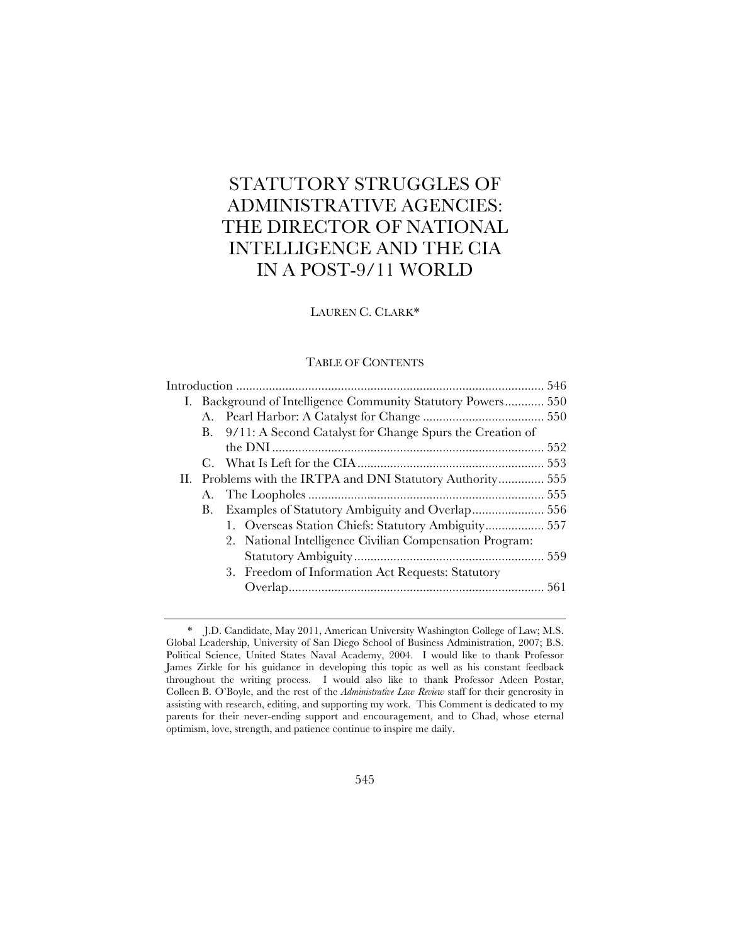# STATUTORY STRUGGLES OF ADMINISTRATIVE AGENCIES: THE DIRECTOR OF NATIONAL INTELLIGENCE AND THE CIA IN A POST-9/11 WORLD

### LAUREN C. CLARK\*

### TABLE OF CONTENTS

|  |                                                             | I. Background of Intelligence Community Statutory Powers 550 |  |
|--|-------------------------------------------------------------|--------------------------------------------------------------|--|
|  |                                                             |                                                              |  |
|  |                                                             | B. 9/11: A Second Catalyst for Change Spurs the Creation of  |  |
|  |                                                             |                                                              |  |
|  |                                                             |                                                              |  |
|  | II. Problems with the IRTPA and DNI Statutory Authority 555 |                                                              |  |
|  |                                                             |                                                              |  |
|  |                                                             |                                                              |  |
|  |                                                             |                                                              |  |
|  |                                                             | 2. National Intelligence Civilian Compensation Program:      |  |
|  |                                                             |                                                              |  |
|  |                                                             | 3. Freedom of Information Act Requests: Statutory            |  |
|  |                                                             |                                                              |  |
|  |                                                             |                                                              |  |

<sup>\*</sup> J.D. Candidate, May 2011, American University Washington College of Law; M.S. Global Leadership, University of San Diego School of Business Administration, 2007; B.S. Political Science, United States Naval Academy, 2004. I would like to thank Professor James Zirkle for his guidance in developing this topic as well as his constant feedback throughout the writing process. I would also like to thank Professor Adeen Postar, Colleen B. O'Boyle, and the rest of the *Administrative Law Review* staff for their generosity in assisting with research, editing, and supporting my work. This Comment is dedicated to my parents for their never-ending support and encouragement, and to Chad, whose eternal optimism, love, strength, and patience continue to inspire me daily.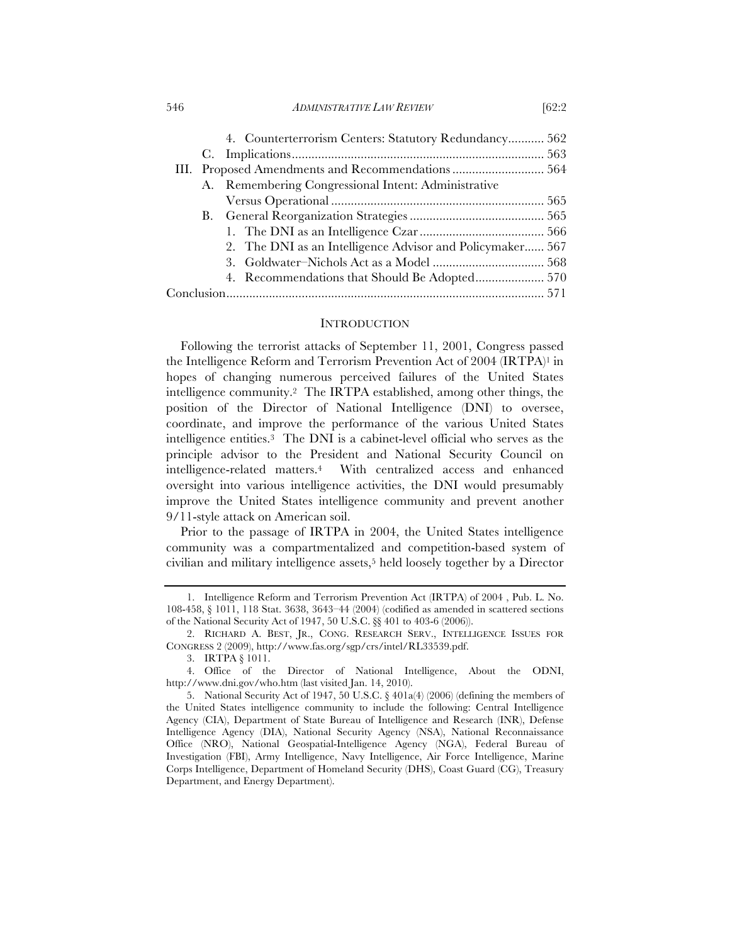#### 546 *ADMINISTRATIVE LAW REVIEW* [62:2

|  | 4. Counterterrorism Centers: Statutory Redundancy 562     |  |
|--|-----------------------------------------------------------|--|
|  |                                                           |  |
|  | III. Proposed Amendments and Recommendations  564         |  |
|  | A. Remembering Congressional Intent: Administrative       |  |
|  |                                                           |  |
|  |                                                           |  |
|  |                                                           |  |
|  | 2. The DNI as an Intelligence Advisor and Policymaker 567 |  |
|  |                                                           |  |
|  |                                                           |  |
|  |                                                           |  |
|  |                                                           |  |

#### **INTRODUCTION**

Following the terrorist attacks of September 11, 2001, Congress passed the Intelligence Reform and Terrorism Prevention Act of  $2004 \, (IRTPA)^1$  in hopes of changing numerous perceived failures of the United States intelligence community.2 The IRTPA established, among other things, the position of the Director of National Intelligence (DNI) to oversee, coordinate, and improve the performance of the various United States intelligence entities.3 The DNI is a cabinet-level official who serves as the principle advisor to the President and National Security Council on intelligence-related matters.4 With centralized access and enhanced oversight into various intelligence activities, the DNI would presumably improve the United States intelligence community and prevent another 9/11-style attack on American soil.

Prior to the passage of IRTPA in 2004, the United States intelligence community was a compartmentalized and competition-based system of civilian and military intelligence assets,5 held loosely together by a Director

<sup>1.</sup> Intelligence Reform and Terrorism Prevention Act (IRTPA) of 2004 , Pub. L. No. 108-458, § 1011, 118 Stat. 3638, 3643–44 (2004) (codified as amended in scattered sections of the National Security Act of 1947, 50 U.S.C. §§ 401 to 403-6 (2006)).

<sup>2.</sup> RICHARD A. BEST, JR., CONG. RESEARCH SERV., INTELLIGENCE ISSUES FOR CONGRESS 2 (2009), http://www.fas.org/sgp/crs/intel/RL33539.pdf.

<sup>3.</sup> IRTPA § 1011.

<sup>4.</sup> Office of the Director of National Intelligence, About the ODNI, http://www.dni.gov/who.htm (last visited Jan. 14, 2010).

<sup>5.</sup> National Security Act of 1947, 50 U.S.C. § 401a(4) (2006) (defining the members of the United States intelligence community to include the following: Central Intelligence Agency (CIA), Department of State Bureau of Intelligence and Research (INR), Defense Intelligence Agency (DIA), National Security Agency (NSA), National Reconnaissance Office (NRO), National Geospatial-Intelligence Agency (NGA), Federal Bureau of Investigation (FBI), Army Intelligence, Navy Intelligence, Air Force Intelligence, Marine Corps Intelligence, Department of Homeland Security (DHS), Coast Guard (CG), Treasury Department, and Energy Department).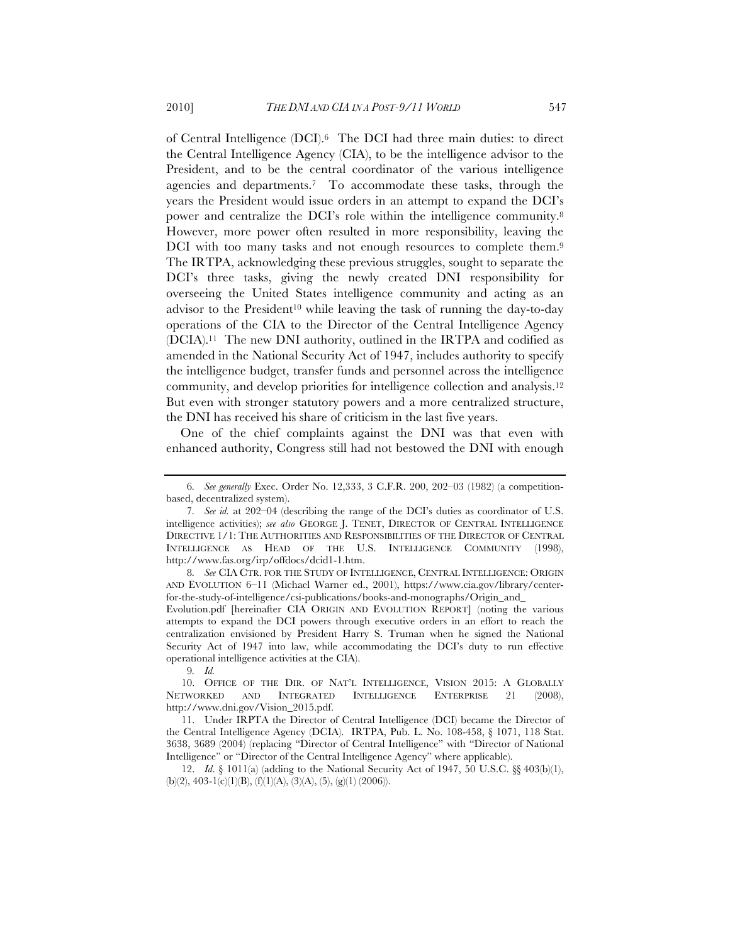of Central Intelligence (DCI).6 The DCI had three main duties: to direct the Central Intelligence Agency (CIA), to be the intelligence advisor to the President, and to be the central coordinator of the various intelligence agencies and departments.7 To accommodate these tasks, through the years the President would issue orders in an attempt to expand the DCI's power and centralize the DCI's role within the intelligence community.8 However, more power often resulted in more responsibility, leaving the DCI with too many tasks and not enough resources to complete them.<sup>9</sup> The IRTPA, acknowledging these previous struggles, sought to separate the DCI's three tasks, giving the newly created DNI responsibility for overseeing the United States intelligence community and acting as an advisor to the President10 while leaving the task of running the day-to-day operations of the CIA to the Director of the Central Intelligence Agency (DCIA).11 The new DNI authority, outlined in the IRTPA and codified as amended in the National Security Act of 1947, includes authority to specify the intelligence budget, transfer funds and personnel across the intelligence community, and develop priorities for intelligence collection and analysis.12 But even with stronger statutory powers and a more centralized structure, the DNI has received his share of criticism in the last five years.

One of the chief complaints against the DNI was that even with enhanced authority, Congress still had not bestowed the DNI with enough

9*. Id.*

<sup>6</sup>*. See generally* Exec. Order No. 12,333, 3 C.F.R. 200, 202–03 (1982) (a competitionbased, decentralized system).

<sup>7</sup>*. See id.* at 202–04 (describing the range of the DCI's duties as coordinator of U.S. intelligence activities); *see also* GEORGE J. TENET, DIRECTOR OF CENTRAL INTELLIGENCE DIRECTIVE 1/1: THE AUTHORITIES AND RESPONSIBILITIES OF THE DIRECTOR OF CENTRAL INTELLIGENCE AS HEAD OF THE U.S. INTELLIGENCE COMMUNITY (1998), http://www.fas.org/irp/offdocs/dcid1-1.htm.

<sup>8</sup>*. See* CIA CTR. FOR THE STUDY OF INTELLIGENCE, CENTRAL INTELLIGENCE: ORIGIN AND EVOLUTION 6–11 (Michael Warner ed., 2001), https://www.cia.gov/library/centerfor-the-study-of-intelligence/csi-publications/books-and-monographs/Origin\_and\_

Evolution.pdf [hereinafter CIA ORIGIN AND EVOLUTION REPORT] (noting the various attempts to expand the DCI powers through executive orders in an effort to reach the centralization envisioned by President Harry S. Truman when he signed the National Security Act of 1947 into law, while accommodating the DCI's duty to run effective operational intelligence activities at the CIA).

<sup>10.</sup> OFFICE OF THE DIR. OF NAT'L INTELLIGENCE, VISION 2015: A GLOBALLY NETWORKED AND INTEGRATED INTELLIGENCE ENTERPRISE 21 (2008), http://www.dni.gov/Vision\_2015.pdf.

<sup>11.</sup> Under IRPTA the Director of Central Intelligence (DCI) became the Director of the Central Intelligence Agency (DCIA). IRTPA, Pub. L. No. 108-458, § 1071, 118 Stat. 3638, 3689 (2004) (replacing "Director of Central Intelligence" with "Director of National Intelligence" or "Director of the Central Intelligence Agency" where applicable).

<sup>12.</sup> *Id*. § 1011(a) (adding to the National Security Act of 1947, 50 U.S.C. §§ 403(b)(1), (b)(2), 403-1(c)(1)(B), (f)(1)(A), (3)(A), (5), (g)(1) (2006)).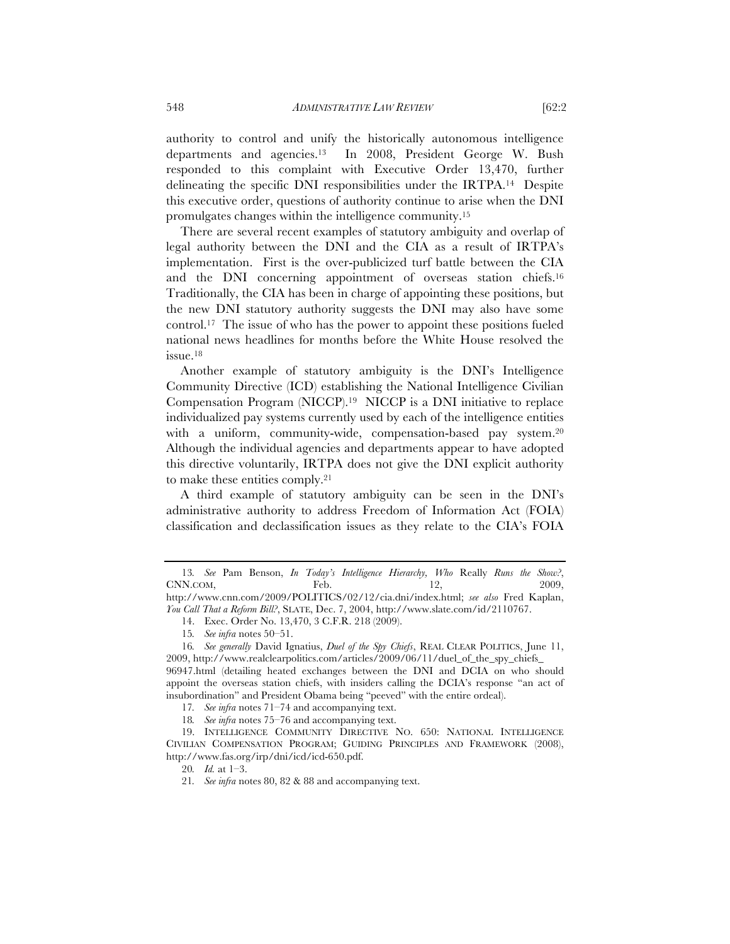authority to control and unify the historically autonomous intelligence departments and agencies.13 In 2008, President George W. Bush responded to this complaint with Executive Order 13,470, further delineating the specific DNI responsibilities under the IRTPA.14 Despite this executive order, questions of authority continue to arise when the DNI promulgates changes within the intelligence community.15

There are several recent examples of statutory ambiguity and overlap of legal authority between the DNI and the CIA as a result of IRTPA's implementation. First is the over-publicized turf battle between the CIA and the DNI concerning appointment of overseas station chiefs.16 Traditionally, the CIA has been in charge of appointing these positions, but the new DNI statutory authority suggests the DNI may also have some control.17 The issue of who has the power to appoint these positions fueled national news headlines for months before the White House resolved the issue.18

Another example of statutory ambiguity is the DNI's Intelligence Community Directive (ICD) establishing the National Intelligence Civilian Compensation Program (NICCP).19 NICCP is a DNI initiative to replace individualized pay systems currently used by each of the intelligence entities with a uniform, community-wide, compensation-based pay system.20 Although the individual agencies and departments appear to have adopted this directive voluntarily, IRTPA does not give the DNI explicit authority to make these entities comply.21

A third example of statutory ambiguity can be seen in the DNI's administrative authority to address Freedom of Information Act (FOIA) classification and declassification issues as they relate to the CIA's FOIA

<sup>13</sup>*. See* Pam Benson, *In Today's Intelligence Hierarchy, Who* Really *Runs the Show?*, CNN.COM, Feb. 12, 2009, http://www.cnn.com/2009/POLITICS/02/12/cia.dni/index.html; *see also* Fred Kaplan,

*You Call That a Reform Bill?*, SLATE, Dec. 7, 2004, http://www.slate.com/id/2110767.

<sup>14.</sup> Exec. Order No. 13,470, 3 C.F.R. 218 (2009).

<sup>15</sup>*. See infra* notes 50–51.

<sup>16</sup>*. See generally* David Ignatius, *Duel of the Spy Chiefs*, REAL CLEAR POLITICS, June 11, 2009, http://www.realclearpolitics.com/articles/2009/06/11/duel\_of\_the\_spy\_chiefs\_ 96947.html (detailing heated exchanges between the DNI and DCIA on who should appoint the overseas station chiefs, with insiders calling the DCIA's response "an act of insubordination" and President Obama being "peeved" with the entire ordeal).

<sup>17</sup>*. See infra* notes 71–74 and accompanying text.

<sup>18</sup>*. See infra* notes 75–76 and accompanying text.

<sup>19.</sup> INTELLIGENCE COMMUNITY DIRECTIVE NO. 650: NATIONAL INTELLIGENCE CIVILIAN COMPENSATION PROGRAM; GUIDING PRINCIPLES AND FRAMEWORK (2008), http://www.fas.org/irp/dni/icd/icd-650.pdf.

<sup>20</sup>*. Id.* at 1–3.

<sup>21</sup>*. See infra* notes 80, 82 & 88 and accompanying text.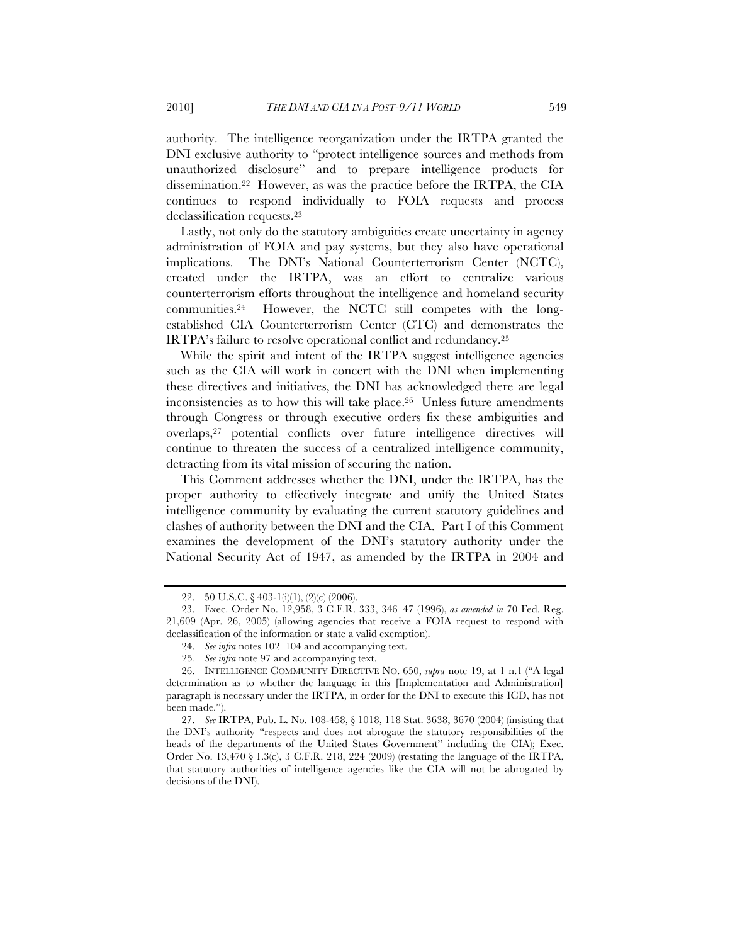authority. The intelligence reorganization under the IRTPA granted the DNI exclusive authority to "protect intelligence sources and methods from unauthorized disclosure" and to prepare intelligence products for dissemination.22 However, as was the practice before the IRTPA, the CIA continues to respond individually to FOIA requests and process declassification requests.23

Lastly, not only do the statutory ambiguities create uncertainty in agency administration of FOIA and pay systems, but they also have operational implications. The DNI's National Counterterrorism Center (NCTC), created under the IRTPA, was an effort to centralize various counterterrorism efforts throughout the intelligence and homeland security communities.24 However, the NCTC still competes with the longestablished CIA Counterterrorism Center (CTC) and demonstrates the IRTPA's failure to resolve operational conflict and redundancy.25

While the spirit and intent of the IRTPA suggest intelligence agencies such as the CIA will work in concert with the DNI when implementing these directives and initiatives, the DNI has acknowledged there are legal inconsistencies as to how this will take place.26 Unless future amendments through Congress or through executive orders fix these ambiguities and overlaps,27 potential conflicts over future intelligence directives will continue to threaten the success of a centralized intelligence community, detracting from its vital mission of securing the nation.

This Comment addresses whether the DNI, under the IRTPA, has the proper authority to effectively integrate and unify the United States intelligence community by evaluating the current statutory guidelines and clashes of authority between the DNI and the CIA. Part I of this Comment examines the development of the DNI's statutory authority under the National Security Act of 1947, as amended by the IRTPA in 2004 and

<sup>22.</sup> 50 U.S.C. § 403-1(i)(1), (2)(c) (2006).

<sup>23.</sup> Exec. Order No. 12,958, 3 C.F.R. 333, 346–47 (1996), *as amended in* 70 Fed. Reg. 21,609 (Apr. 26, 2005) (allowing agencies that receive a FOIA request to respond with declassification of the information or state a valid exemption).

<sup>24.</sup> *See infra* notes 102–104 and accompanying text.

<sup>25</sup>*. See infra* note 97 and accompanying text.

<sup>26.</sup> INTELLIGENCE COMMUNITY DIRECTIVE NO. 650, *supra* note 19, at 1 n.1 ("A legal determination as to whether the language in this [Implementation and Administration] paragraph is necessary under the IRTPA, in order for the DNI to execute this ICD, has not been made.").

<sup>27.</sup> *See* IRTPA, Pub. L. No. 108-458, § 1018, 118 Stat. 3638, 3670 (2004) (insisting that the DNI's authority "respects and does not abrogate the statutory responsibilities of the heads of the departments of the United States Government" including the CIA); Exec. Order No. 13,470 § 1.3(c), 3 C.F.R. 218, 224 (2009) (restating the language of the IRTPA, that statutory authorities of intelligence agencies like the CIA will not be abrogated by decisions of the DNI).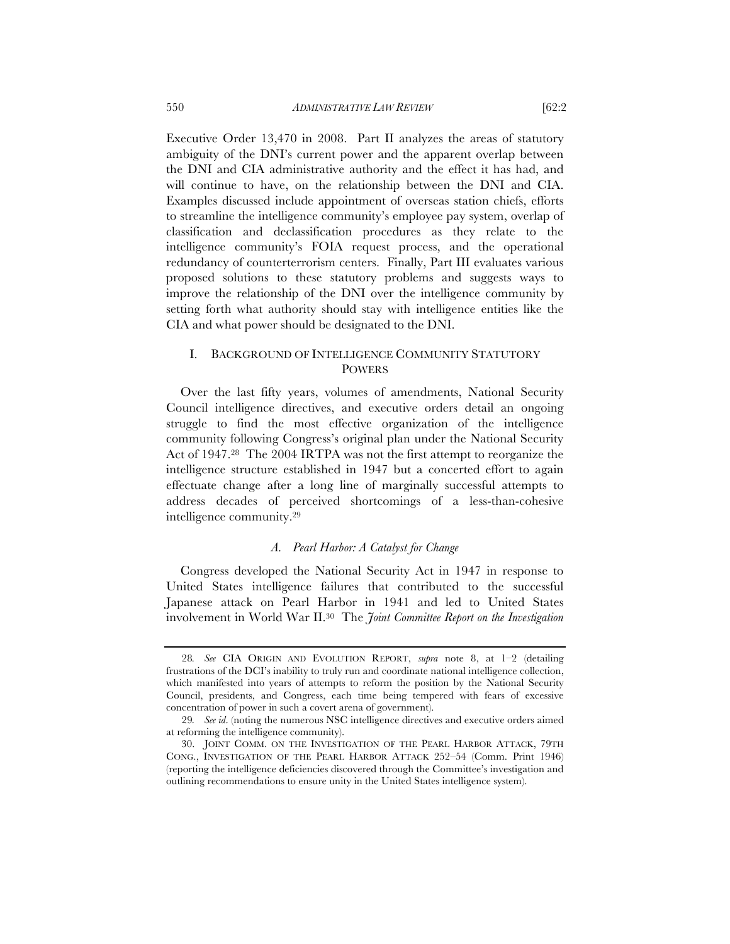Executive Order 13,470 in 2008. Part II analyzes the areas of statutory ambiguity of the DNI's current power and the apparent overlap between the DNI and CIA administrative authority and the effect it has had, and will continue to have, on the relationship between the DNI and CIA. Examples discussed include appointment of overseas station chiefs, efforts to streamline the intelligence community's employee pay system, overlap of classification and declassification procedures as they relate to the intelligence community's FOIA request process, and the operational redundancy of counterterrorism centers. Finally, Part III evaluates various proposed solutions to these statutory problems and suggests ways to improve the relationship of the DNI over the intelligence community by setting forth what authority should stay with intelligence entities like the CIA and what power should be designated to the DNI.

### I. BACKGROUND OF INTELLIGENCE COMMUNITY STATUTORY POWERS

Over the last fifty years, volumes of amendments, National Security Council intelligence directives, and executive orders detail an ongoing struggle to find the most effective organization of the intelligence community following Congress's original plan under the National Security Act of 1947.28 The 2004 IRTPA was not the first attempt to reorganize the intelligence structure established in 1947 but a concerted effort to again effectuate change after a long line of marginally successful attempts to address decades of perceived shortcomings of a less-than-cohesive intelligence community.29

### *A. Pearl Harbor: A Catalyst for Change*

Congress developed the National Security Act in 1947 in response to United States intelligence failures that contributed to the successful Japanese attack on Pearl Harbor in 1941 and led to United States involvement in World War II.30 The *Joint Committee Report on the Investigation* 

<sup>28</sup>*. See* CIA ORIGIN AND EVOLUTION REPORT, *supra* note 8, at 1–2 (detailing frustrations of the DCI's inability to truly run and coordinate national intelligence collection, which manifested into years of attempts to reform the position by the National Security Council, presidents, and Congress, each time being tempered with fears of excessive concentration of power in such a covert arena of government).

<sup>29</sup>*. See id*. (noting the numerous NSC intelligence directives and executive orders aimed at reforming the intelligence community).

<sup>30.</sup> JOINT COMM. ON THE INVESTIGATION OF THE PEARL HARBOR ATTACK, 79TH CONG., INVESTIGATION OF THE PEARL HARBOR ATTACK 252–54 (Comm. Print 1946) (reporting the intelligence deficiencies discovered through the Committee's investigation and outlining recommendations to ensure unity in the United States intelligence system).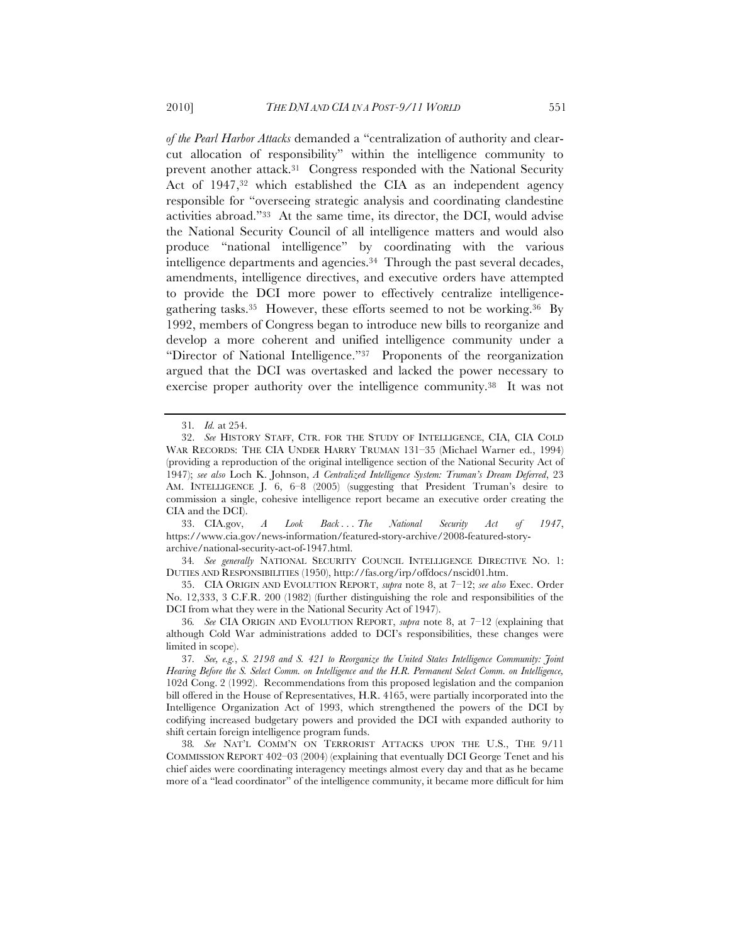*of the Pearl Harbor Attacks* demanded a "centralization of authority and clearcut allocation of responsibility" within the intelligence community to prevent another attack.31 Congress responded with the National Security Act of 1947,32 which established the CIA as an independent agency responsible for "overseeing strategic analysis and coordinating clandestine activities abroad."33 At the same time, its director, the DCI, would advise the National Security Council of all intelligence matters and would also produce "national intelligence" by coordinating with the various intelligence departments and agencies.34 Through the past several decades, amendments, intelligence directives, and executive orders have attempted to provide the DCI more power to effectively centralize intelligencegathering tasks.35 However, these efforts seemed to not be working.36 By 1992, members of Congress began to introduce new bills to reorganize and develop a more coherent and unified intelligence community under a "Director of National Intelligence."37 Proponents of the reorganization argued that the DCI was overtasked and lacked the power necessary to exercise proper authority over the intelligence community.38 It was not

33. CIA.gov, *A Look Back . . . The National Security Act of 1947*, https://www.cia.gov/news-information/featured-story-archive/2008-featured-storyarchive/national-security-act-of-1947.html.

34*. See generally* NATIONAL SECURITY COUNCIL INTELLIGENCE DIRECTIVE NO. 1: DUTIES AND RESPONSIBILITIES (1950), http://fas.org/irp/offdocs/nscid01.htm.

35. CIA ORIGIN AND EVOLUTION REPORT, *supra* note 8, at 7–12; *see also* Exec. Order No. 12,333, 3 C.F.R. 200 (1982) (further distinguishing the role and responsibilities of the DCI from what they were in the National Security Act of 1947).

36*. See* CIA ORIGIN AND EVOLUTION REPORT, *supra* note 8, at 7–12 (explaining that although Cold War administrations added to DCI's responsibilities, these changes were limited in scope).

38*. See* NAT'L COMM'N ON TERRORIST ATTACKS UPON THE U.S., THE 9/11 COMMISSION REPORT 402–03 (2004) (explaining that eventually DCI George Tenet and his chief aides were coordinating interagency meetings almost every day and that as he became more of a "lead coordinator" of the intelligence community, it became more difficult for him

<sup>31</sup>*. Id.* at 254.

<sup>32.</sup> *See* HISTORY STAFF, CTR. FOR THE STUDY OF INTELLIGENCE, CIA, CIA COLD WAR RECORDS: THE CIA UNDER HARRY TRUMAN 131–35 (Michael Warner ed., 1994) (providing a reproduction of the original intelligence section of the National Security Act of 1947); *see also* Loch K. Johnson, *A Centralized Intelligence System: Truman's Dream Deferred*, 23 AM. INTELLIGENCE J. 6, 6–8 (2005) (suggesting that President Truman's desire to commission a single, cohesive intelligence report became an executive order creating the CIA and the DCI).

<sup>37</sup>*. See, e.g.*, *S. 2198 and S. 421 to Reorganize the United States Intelligence Community: Joint Hearing Before the S. Select Comm. on Intelligence and the H.R. Permanent Select Comm. on Intelligence,* 102d Cong. 2 (1992). Recommendations from this proposed legislation and the companion bill offered in the House of Representatives, H.R. 4165, were partially incorporated into the Intelligence Organization Act of 1993, which strengthened the powers of the DCI by codifying increased budgetary powers and provided the DCI with expanded authority to shift certain foreign intelligence program funds.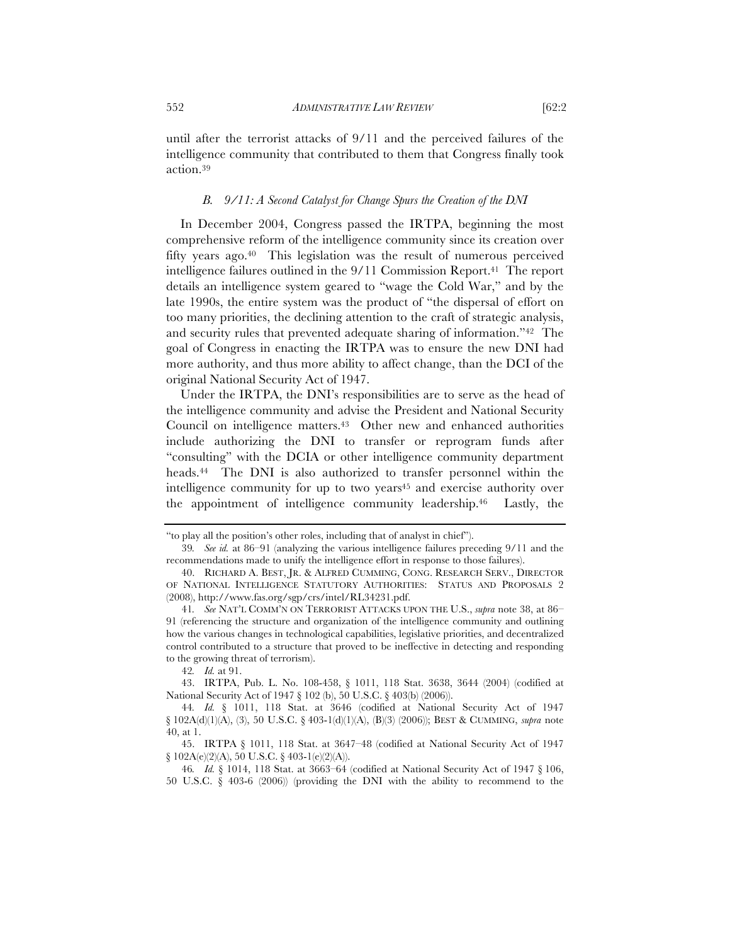until after the terrorist attacks of 9/11 and the perceived failures of the intelligence community that contributed to them that Congress finally took action.39

#### *B. 9/11: A Second Catalyst for Change Spurs the Creation of the DNI*

In December 2004, Congress passed the IRTPA, beginning the most comprehensive reform of the intelligence community since its creation over fifty years ago.40 This legislation was the result of numerous perceived intelligence failures outlined in the 9/11 Commission Report.<sup>41</sup> The report details an intelligence system geared to "wage the Cold War," and by the late 1990s, the entire system was the product of "the dispersal of effort on too many priorities, the declining attention to the craft of strategic analysis, and security rules that prevented adequate sharing of information."42 The goal of Congress in enacting the IRTPA was to ensure the new DNI had more authority, and thus more ability to affect change, than the DCI of the original National Security Act of 1947.

Under the IRTPA, the DNI's responsibilities are to serve as the head of the intelligence community and advise the President and National Security Council on intelligence matters.<sup>43</sup> Other new and enhanced authorities include authorizing the DNI to transfer or reprogram funds after "consulting" with the DCIA or other intelligence community department heads.44 The DNI is also authorized to transfer personnel within the intelligence community for up to two years<sup>45</sup> and exercise authority over the appointment of intelligence community leadership.46 Lastly, the

<sup>&</sup>quot;to play all the position's other roles, including that of analyst in chief").

<sup>39</sup>*. See id.* at 86–91 (analyzing the various intelligence failures preceding 9/11 and the recommendations made to unify the intelligence effort in response to those failures).

<sup>40.</sup> RICHARD A. BEST, JR. & ALFRED CUMMING, CONG. RESEARCH SERV., DIRECTOR OF NATIONAL INTELLIGENCE STATUTORY AUTHORITIES: STATUS AND PROPOSALS 2 (2008), http://www.fas.org/sgp/crs/intel/RL34231.pdf.

<sup>41</sup>*. See* NAT'L COMM'N ON TERRORIST ATTACKS UPON THE U.S., *supra* note 38, at 86– 91 (referencing the structure and organization of the intelligence community and outlining how the various changes in technological capabilities, legislative priorities, and decentralized control contributed to a structure that proved to be ineffective in detecting and responding to the growing threat of terrorism).

<sup>42</sup>*. Id.* at 91.

<sup>43.</sup> IRTPA, Pub. L. No. 108-458, § 1011, 118 Stat. 3638, 3644 (2004) (codified at National Security Act of 1947 § 102 (b), 50 U.S.C. § 403(b) (2006)).

<sup>44</sup>*. Id.* § 1011, 118 Stat. at 3646 (codified at National Security Act of 1947 § 102A(d)(1)(A), (3), 50 U.S.C. § 403-1(d)(1)(A), (B)(3) (2006)); BEST & CUMMING, *supra* note 40, at 1.

<sup>45.</sup> IRTPA § 1011, 118 Stat. at 3647–48 (codified at National Security Act of 1947 § 102A(e)(2)(A), 50 U.S.C. § 403-1(e)(2)(A)).

<sup>46</sup>*. Id.* § 1014, 118 Stat. at 3663–64 (codified at National Security Act of 1947 § 106, 50 U.S.C. § 403-6 (2006)) (providing the DNI with the ability to recommend to the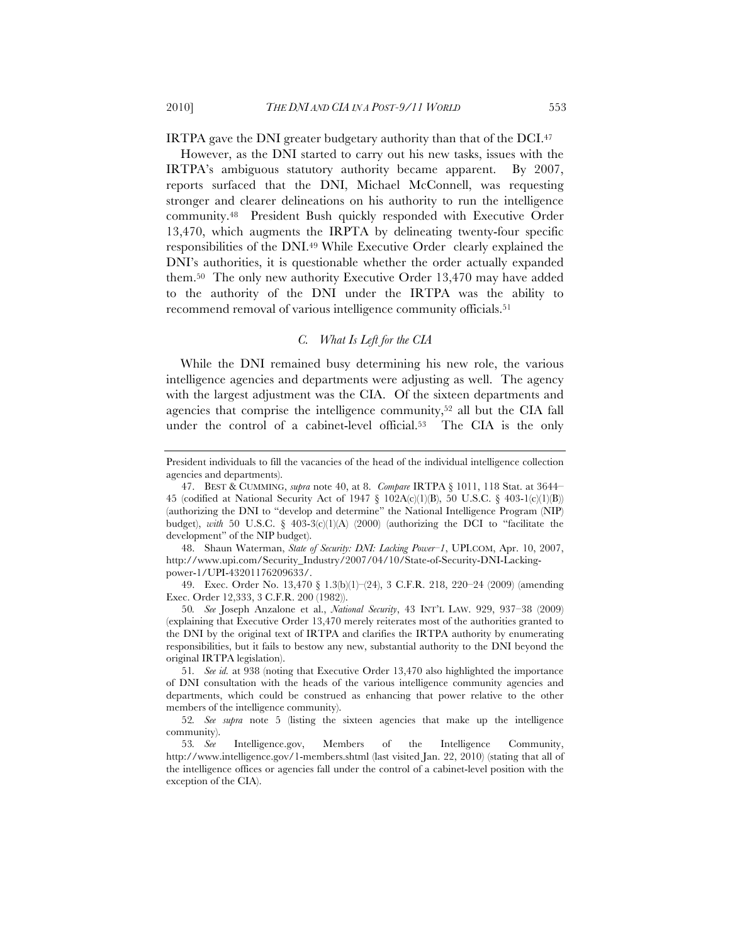IRTPA gave the DNI greater budgetary authority than that of the DCI.47

However, as the DNI started to carry out his new tasks, issues with the IRTPA's ambiguous statutory authority became apparent. By 2007, reports surfaced that the DNI, Michael McConnell, was requesting stronger and clearer delineations on his authority to run the intelligence community.48 President Bush quickly responded with Executive Order 13,470, which augments the IRPTA by delineating twenty-four specific responsibilities of the DNI.49 While Executive Order clearly explained the DNI's authorities, it is questionable whether the order actually expanded them.50 The only new authority Executive Order 13,470 may have added to the authority of the DNI under the IRTPA was the ability to recommend removal of various intelligence community officials.51

### *C. What Is Left for the CIA*

While the DNI remained busy determining his new role, the various intelligence agencies and departments were adjusting as well. The agency with the largest adjustment was the CIA. Of the sixteen departments and agencies that comprise the intelligence community,52 all but the CIA fall under the control of a cabinet-level official.53 The CIA is the only

48. Shaun Waterman, *State of Security: DNI: Lacking Power–1*, UPI.COM, Apr. 10, 2007, http://www.upi.com/Security\_Industry/2007/04/10/State-of-Security-DNI-Lackingpower-1/UPI-43201176209633/.

49. Exec. Order No. 13,470 § 1.3(b)(1)–(24), 3 C.F.R. 218, 220–24 (2009) (amending Exec. Order 12,333, 3 C.F.R. 200 (1982)).

50*. See* Joseph Anzalone et al., *National Security*, 43 INT'L LAW. 929, 937–38 (2009) (explaining that Executive Order 13,470 merely reiterates most of the authorities granted to the DNI by the original text of IRTPA and clarifies the IRTPA authority by enumerating responsibilities, but it fails to bestow any new, substantial authority to the DNI beyond the original IRTPA legislation).

51*. See id.* at 938 (noting that Executive Order 13,470 also highlighted the importance of DNI consultation with the heads of the various intelligence community agencies and departments, which could be construed as enhancing that power relative to the other members of the intelligence community).

52*. See supra* note 5 (listing the sixteen agencies that make up the intelligence community).

53*. See* Intelligence.gov, Members of the Intelligence Community, http://www.intelligence.gov/1-members.shtml (last visited Jan. 22, 2010) (stating that all of the intelligence offices or agencies fall under the control of a cabinet-level position with the exception of the CIA).

President individuals to fill the vacancies of the head of the individual intelligence collection agencies and departments).

<sup>47.</sup> BEST & CUMMING, *supra* note 40, at 8. *Compare* IRTPA § 1011, 118 Stat. at 3644– 45 (codified at National Security Act of 1947 § 102A(c)(1)(B), 50 U.S.C. § 403-1(c)(1)(B)) (authorizing the DNI to "develop and determine" the National Intelligence Program (NIP) budget), *with* 50 U.S.C. § 403-3(c)(1)(A) (2000) (authorizing the DCI to "facilitate the development" of the NIP budget).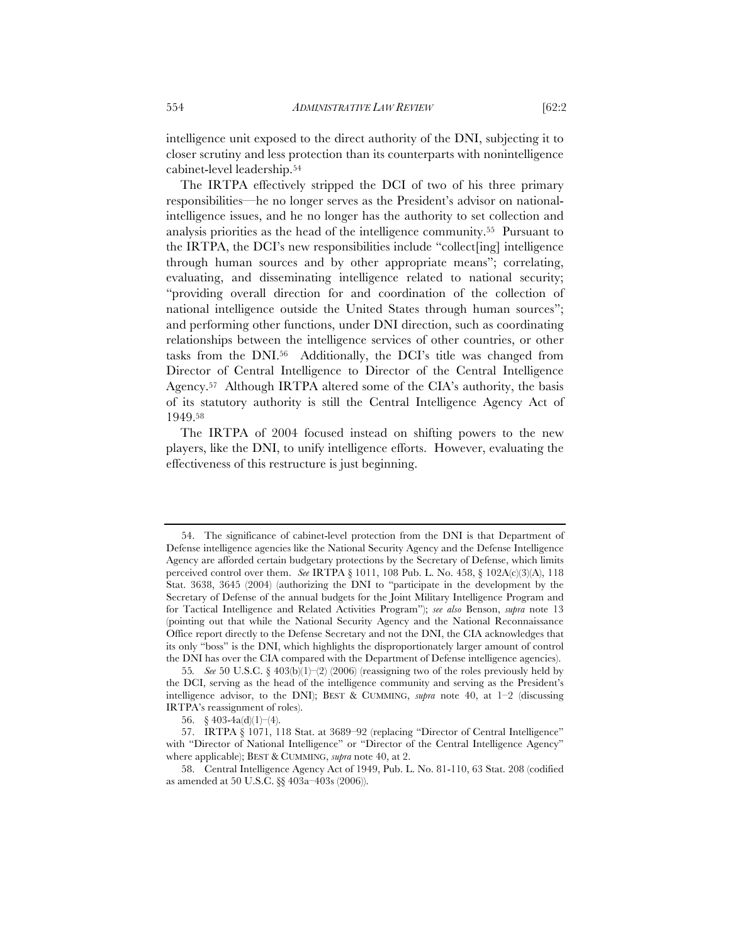intelligence unit exposed to the direct authority of the DNI, subjecting it to closer scrutiny and less protection than its counterparts with nonintelligence cabinet-level leadership.54

The IRTPA effectively stripped the DCI of two of his three primary responsibilities—he no longer serves as the President's advisor on nationalintelligence issues, and he no longer has the authority to set collection and analysis priorities as the head of the intelligence community.55 Pursuant to the IRTPA, the DCI's new responsibilities include "collect[ing] intelligence through human sources and by other appropriate means"; correlating, evaluating, and disseminating intelligence related to national security; "providing overall direction for and coordination of the collection of national intelligence outside the United States through human sources"; and performing other functions, under DNI direction, such as coordinating relationships between the intelligence services of other countries, or other tasks from the DNI.56 Additionally, the DCI's title was changed from Director of Central Intelligence to Director of the Central Intelligence Agency.57 Although IRTPA altered some of the CIA's authority, the basis of its statutory authority is still the Central Intelligence Agency Act of 1949.58

The IRTPA of 2004 focused instead on shifting powers to the new players, like the DNI, to unify intelligence efforts. However, evaluating the effectiveness of this restructure is just beginning.

<sup>54.</sup> The significance of cabinet-level protection from the DNI is that Department of Defense intelligence agencies like the National Security Agency and the Defense Intelligence Agency are afforded certain budgetary protections by the Secretary of Defense, which limits perceived control over them. *See* IRTPA § 1011, 108 Pub. L. No. 458, § 102A(c)(3)(A), 118 Stat. 3638, 3645 (2004) (authorizing the DNI to "participate in the development by the Secretary of Defense of the annual budgets for the Joint Military Intelligence Program and for Tactical Intelligence and Related Activities Program"); *see also* Benson, *supra* note 13 (pointing out that while the National Security Agency and the National Reconnaissance Office report directly to the Defense Secretary and not the DNI, the CIA acknowledges that its only "boss" is the DNI, which highlights the disproportionately larger amount of control the DNI has over the CIA compared with the Department of Defense intelligence agencies).

<sup>55.</sup> *See* 50 U.S.C.  $\frac{6}{9}$  403(b)(1)–(2) (2006) (reassigning two of the roles previously held by the DCI, serving as the head of the intelligence community and serving as the President's intelligence advisor, to the DNI); BEST & CUMMING, *supra* note 40, at 1–2 (discussing IRTPA's reassignment of roles).

<sup>56. § 403-4</sup>a(d)(1)-(4).

<sup>57.</sup> IRTPA § 1071, 118 Stat. at 3689–92 (replacing "Director of Central Intelligence" with "Director of National Intelligence" or "Director of the Central Intelligence Agency" where applicable); BEST & CUMMING, *supra* note 40, at 2.

<sup>58.</sup> Central Intelligence Agency Act of 1949, Pub. L. No. 81-110, 63 Stat. 208 (codified as amended at 50 U.S.C. §§ 403a–403s (2006)).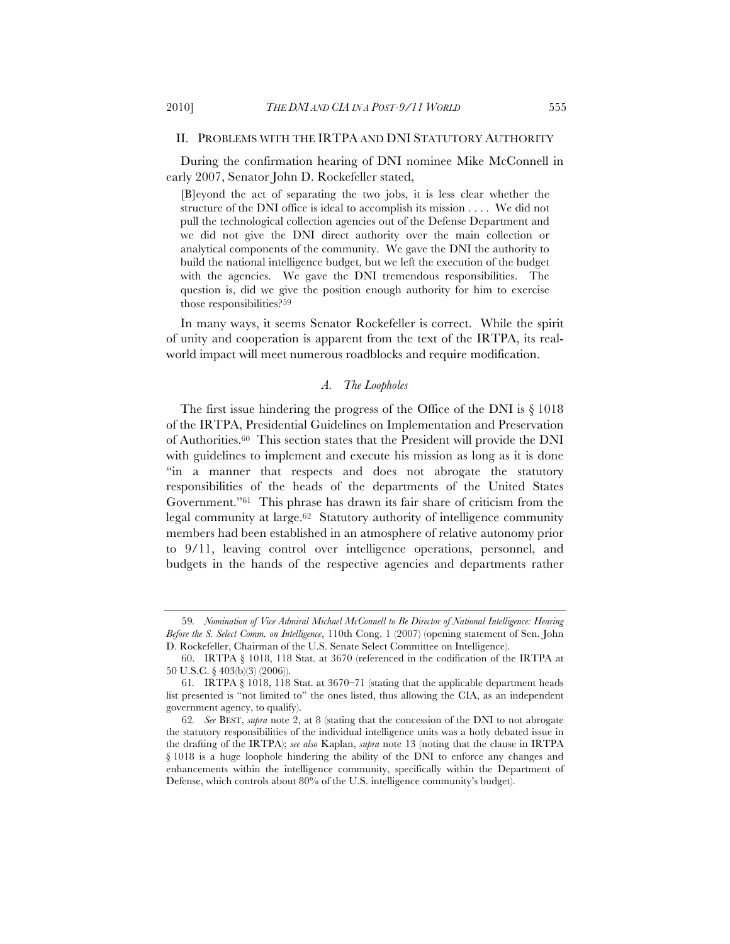### II. PROBLEMS WITH THE IRTPA AND DNI STATUTORY AUTHORITY

During the confirmation hearing of DNI nominee Mike McConnell in early 2007, Senator John D. Rockefeller stated,

[B]eyond the act of separating the two jobs, it is less clear whether the structure of the DNI office is ideal to accomplish its mission . . . . We did not pull the technological collection agencies out of the Defense Department and we did not give the DNI direct authority over the main collection or analytical components of the community. We gave the DNI the authority to build the national intelligence budget, but we left the execution of the budget with the agencies. We gave the DNI tremendous responsibilities. The question is, did we give the position enough authority for him to exercise those responsibilities?59

In many ways, it seems Senator Rockefeller is correct. While the spirit of unity and cooperation is apparent from the text of the IRTPA, its realworld impact will meet numerous roadblocks and require modification.

### *A. The Loopholes*

The first issue hindering the progress of the Office of the DNI is § 1018 of the IRTPA, Presidential Guidelines on Implementation and Preservation of Authorities.60 This section states that the President will provide the DNI with guidelines to implement and execute his mission as long as it is done "in a manner that respects and does not abrogate the statutory responsibilities of the heads of the departments of the United States Government."61 This phrase has drawn its fair share of criticism from the legal community at large.62 Statutory authority of intelligence community members had been established in an atmosphere of relative autonomy prior to 9/11, leaving control over intelligence operations, personnel, and budgets in the hands of the respective agencies and departments rather

<sup>59</sup>*. Nomination of Vice Admiral Michael McConnell to Be Director of National Intelligence: Hearing Before the S. Select Comm. on Intelligence*, 110th Cong. 1 (2007) (opening statement of Sen. John D. Rockefeller, Chairman of the U.S. Senate Select Committee on Intelligence).

<sup>60.</sup> IRTPA § 1018, 118 Stat. at 3670 (referenced in the codification of the IRTPA at 50 U.S.C. § 403(b)(3) (2006)).

<sup>61</sup>*.* IRTPA § 1018, 118 Stat. at 3670–71 (stating that the applicable department heads list presented is "not limited to" the ones listed, thus allowing the CIA, as an independent government agency, to qualify).

<sup>62</sup>*. See* BEST, *supra* note 2, at 8 (stating that the concession of the DNI to not abrogate the statutory responsibilities of the individual intelligence units was a hotly debated issue in the drafting of the IRTPA); *see also* Kaplan, *supra* note 13 (noting that the clause in IRTPA § 1018 is a huge loophole hindering the ability of the DNI to enforce any changes and enhancements within the intelligence community, specifically within the Department of Defense, which controls about 80% of the U.S. intelligence community's budget).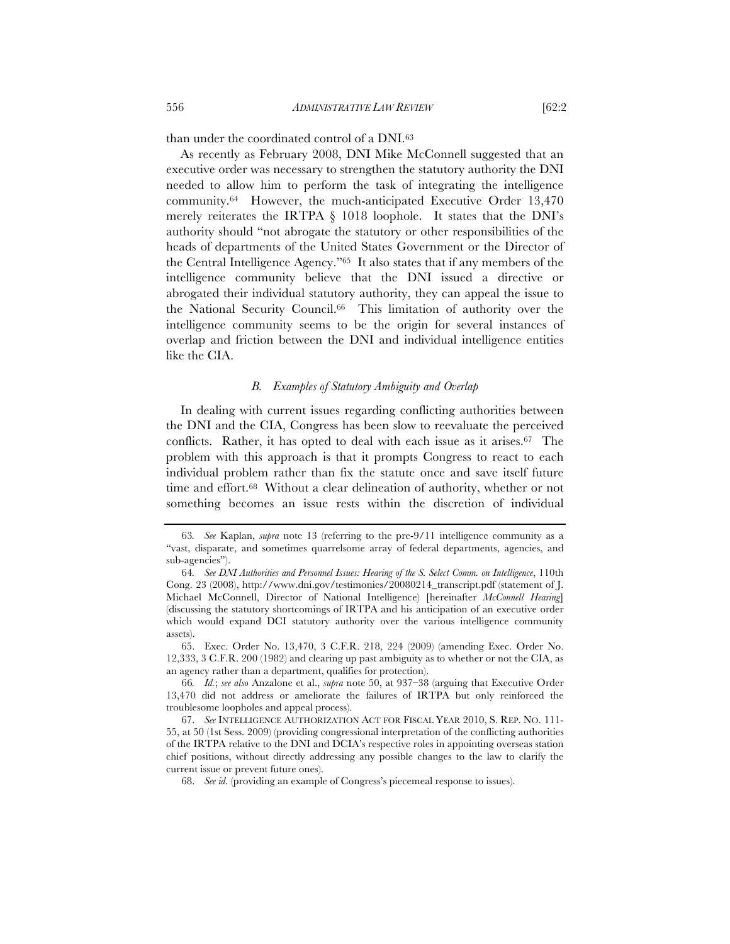than under the coordinated control of a DNI.63

As recently as February 2008, DNI Mike McConnell suggested that an executive order was necessary to strengthen the statutory authority the DNI needed to allow him to perform the task of integrating the intelligence community.64 However, the much-anticipated Executive Order 13,470 merely reiterates the IRTPA § 1018 loophole. It states that the DNI's authority should "not abrogate the statutory or other responsibilities of the heads of departments of the United States Government or the Director of the Central Intelligence Agency."65 It also states that if any members of the intelligence community believe that the DNI issued a directive or abrogated their individual statutory authority, they can appeal the issue to the National Security Council.66 This limitation of authority over the intelligence community seems to be the origin for several instances of overlap and friction between the DNI and individual intelligence entities like the CIA.

### *B. Examples of Statutory Ambiguity and Overlap*

In dealing with current issues regarding conflicting authorities between the DNI and the CIA, Congress has been slow to reevaluate the perceived conflicts. Rather, it has opted to deal with each issue as it arises.67 The problem with this approach is that it prompts Congress to react to each individual problem rather than fix the statute once and save itself future time and effort.68 Without a clear delineation of authority, whether or not something becomes an issue rests within the discretion of individual

<sup>63</sup>*. See* Kaplan, *supra* note 13 (referring to the pre-9/11 intelligence community as a "vast, disparate, and sometimes quarrelsome array of federal departments, agencies, and sub-agencies").

<sup>64</sup>*. See DNI Authorities and Personnel Issues: Hearing of the S. Select Comm. on Intelligence*, 110th Cong. 23 (2008), http://www.dni.gov/testimonies/20080214\_transcript.pdf (statement of J. Michael McConnell, Director of National Intelligence) [hereinafter *McConnell Hearing*] (discussing the statutory shortcomings of IRTPA and his anticipation of an executive order which would expand DCI statutory authority over the various intelligence community assets).

<sup>65.</sup> Exec. Order No. 13,470, 3 C.F.R. 218, 224 (2009) (amending Exec. Order No. 12,333, 3 C.F.R. 200 (1982) and clearing up past ambiguity as to whether or not the CIA, as an agency rather than a department, qualifies for protection).

<sup>66</sup>*. Id.*; *see also* Anzalone et al., *supra* note 50, at 937–38 (arguing that Executive Order 13,470 did not address or ameliorate the failures of IRTPA but only reinforced the troublesome loopholes and appeal process).

<sup>67.</sup> *See* INTELLIGENCE AUTHORIZATION ACT FOR FISCAL YEAR 2010, S. REP. NO. 111- 55, at 50 (1st Sess. 2009) (providing congressional interpretation of the conflicting authorities of the IRTPA relative to the DNI and DCIA's respective roles in appointing overseas station chief positions, without directly addressing any possible changes to the law to clarify the current issue or prevent future ones).

<sup>68.</sup> *See id.* (providing an example of Congress's piecemeal response to issues).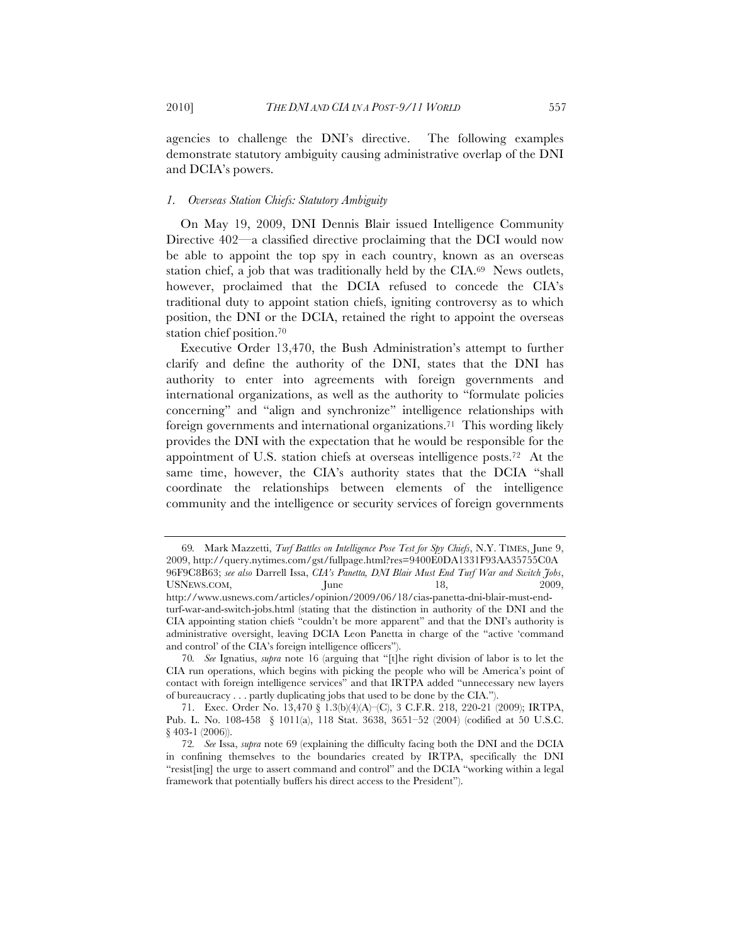agencies to challenge the DNI's directive. The following examples demonstrate statutory ambiguity causing administrative overlap of the DNI and DCIA's powers.

### *1. Overseas Station Chiefs: Statutory Ambiguity*

On May 19, 2009, DNI Dennis Blair issued Intelligence Community Directive 402—a classified directive proclaiming that the DCI would now be able to appoint the top spy in each country, known as an overseas station chief, a job that was traditionally held by the CIA.69 News outlets, however, proclaimed that the DCIA refused to concede the CIA's traditional duty to appoint station chiefs, igniting controversy as to which position, the DNI or the DCIA, retained the right to appoint the overseas station chief position.70

Executive Order 13,470, the Bush Administration's attempt to further clarify and define the authority of the DNI, states that the DNI has authority to enter into agreements with foreign governments and international organizations, as well as the authority to "formulate policies concerning" and "align and synchronize" intelligence relationships with foreign governments and international organizations.71 This wording likely provides the DNI with the expectation that he would be responsible for the appointment of U.S. station chiefs at overseas intelligence posts.72 At the same time, however, the CIA's authority states that the DCIA "shall coordinate the relationships between elements of the intelligence community and the intelligence or security services of foreign governments

<sup>69</sup>*.* Mark Mazzetti, *Turf Battles on Intelligence Pose Test for Spy Chiefs*, N.Y. TIMES, June 9, 2009, http://query.nytimes.com/gst/fullpage.html?res=9400E0DA1331F93AA35755C0A 96F9C8B63; *see also* Darrell Issa, *CIA's Panetta, DNI Blair Must End Turf War and Switch Jobs*, USNEWS.COM, June 18, 2009,

http://www.usnews.com/articles/opinion/2009/06/18/cias-panetta-dni-blair-must-endturf-war-and-switch-jobs.html (stating that the distinction in authority of the DNI and the CIA appointing station chiefs "couldn't be more apparent" and that the DNI's authority is administrative oversight, leaving DCIA Leon Panetta in charge of the "active 'command and control' of the CIA's foreign intelligence officers").

<sup>70</sup>*. See* Ignatius, *supra* note 16 (arguing that "[t]he right division of labor is to let the CIA run operations, which begins with picking the people who will be America's point of contact with foreign intelligence services" and that IRTPA added "unnecessary new layers of bureaucracy . . . partly duplicating jobs that used to be done by the CIA.").

<sup>71.</sup> Exec. Order No. 13,470 § 1.3(b)(4)(A)–(C), 3 C.F.R. 218, 220-21 (2009); IRTPA, Pub. L. No. 108-458 § 1011(a), 118 Stat. 3638, 3651–52 (2004) (codified at 50 U.S.C. § 403-1 (2006)).

<sup>72</sup>*. See* Issa, *supra* note 69 (explaining the difficulty facing both the DNI and the DCIA in confining themselves to the boundaries created by IRTPA, specifically the DNI "resist[ing] the urge to assert command and control" and the DCIA "working within a legal framework that potentially buffers his direct access to the President").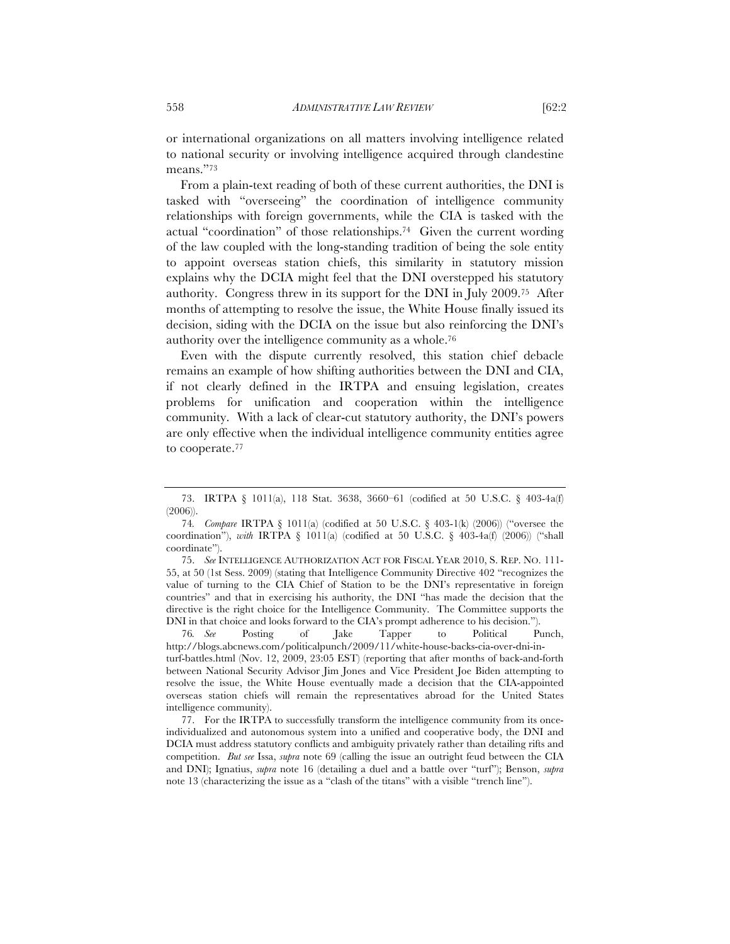or international organizations on all matters involving intelligence related to national security or involving intelligence acquired through clandestine means."73

From a plain-text reading of both of these current authorities, the DNI is tasked with "overseeing" the coordination of intelligence community relationships with foreign governments, while the CIA is tasked with the actual "coordination" of those relationships.74 Given the current wording of the law coupled with the long-standing tradition of being the sole entity to appoint overseas station chiefs, this similarity in statutory mission explains why the DCIA might feel that the DNI overstepped his statutory authority. Congress threw in its support for the DNI in July 2009.75 After months of attempting to resolve the issue, the White House finally issued its decision, siding with the DCIA on the issue but also reinforcing the DNI's authority over the intelligence community as a whole.76

Even with the dispute currently resolved, this station chief debacle remains an example of how shifting authorities between the DNI and CIA, if not clearly defined in the IRTPA and ensuing legislation, creates problems for unification and cooperation within the intelligence community. With a lack of clear-cut statutory authority, the DNI's powers are only effective when the individual intelligence community entities agree to cooperate.77

<sup>73.</sup> IRTPA § 1011(a), 118 Stat. 3638, 3660–61 (codified at 50 U.S.C. § 403-4a(f) (2006)).

<sup>74</sup>*. Compare* IRTPA § 1011(a) (codified at 50 U.S.C. § 403-1(k) (2006)) ("oversee the coordination"), *with* IRTPA § 1011(a) (codified at 50 U.S.C. § 403-4a(f) (2006)) ("shall coordinate").

<sup>75.</sup> *See* INTELLIGENCE AUTHORIZATION ACT FOR FISCAL YEAR 2010, S. REP. NO. 111- 55, at 50 (1st Sess. 2009) (stating that Intelligence Community Directive 402 "recognizes the value of turning to the CIA Chief of Station to be the DNI's representative in foreign countries" and that in exercising his authority, the DNI "has made the decision that the directive is the right choice for the Intelligence Community. The Committee supports the DNI in that choice and looks forward to the CIA's prompt adherence to his decision.").

<sup>76</sup>*. See* Posting of Jake Tapper to Political Punch, http://blogs.abcnews.com/politicalpunch/2009/11/white-house-backs-cia-over-dni-inturf-battles.html (Nov. 12, 2009, 23:05 EST) (reporting that after months of back-and-forth between National Security Advisor Jim Jones and Vice President Joe Biden attempting to resolve the issue, the White House eventually made a decision that the CIA-appointed overseas station chiefs will remain the representatives abroad for the United States intelligence community).

<sup>77.</sup> For the IRTPA to successfully transform the intelligence community from its onceindividualized and autonomous system into a unified and cooperative body, the DNI and DCIA must address statutory conflicts and ambiguity privately rather than detailing rifts and competition. *But see* Issa, *supra* note 69 (calling the issue an outright feud between the CIA and DNI); Ignatius, *supra* note 16 (detailing a duel and a battle over "turf"); Benson, *supra* note 13 (characterizing the issue as a "clash of the titans" with a visible "trench line").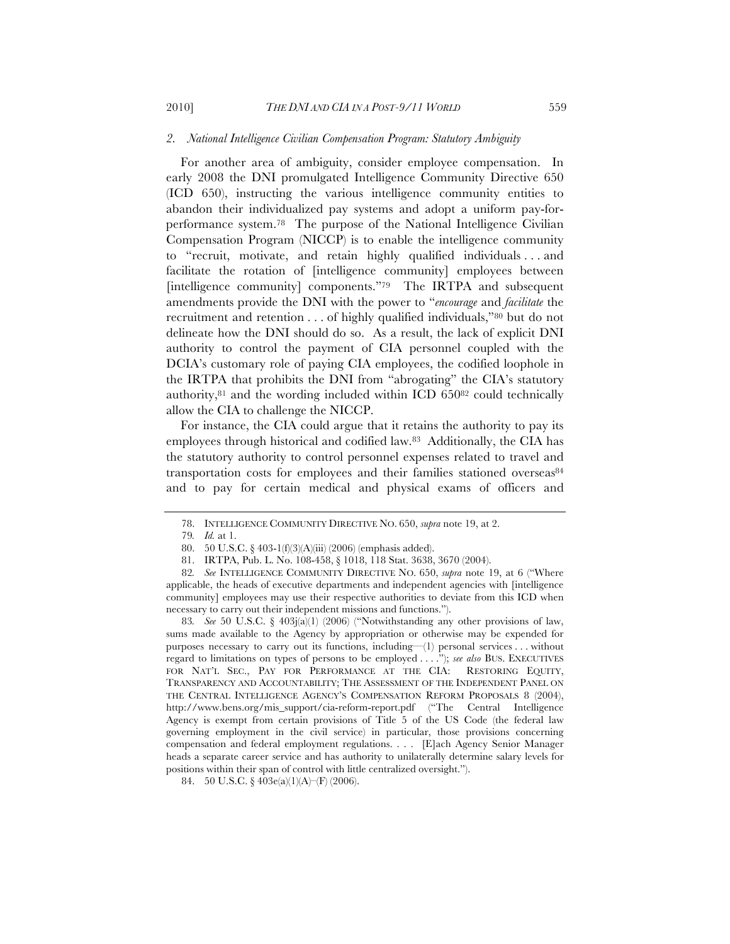### *2. National Intelligence Civilian Compensation Program: Statutory Ambiguity*

For another area of ambiguity, consider employee compensation. In early 2008 the DNI promulgated Intelligence Community Directive 650 (ICD 650), instructing the various intelligence community entities to abandon their individualized pay systems and adopt a uniform pay-forperformance system.78 The purpose of the National Intelligence Civilian Compensation Program (NICCP) is to enable the intelligence community to "recruit, motivate, and retain highly qualified individuals . . . and facilitate the rotation of [intelligence community] employees between [intelligence community] components."79 The IRTPA and subsequent amendments provide the DNI with the power to "*encourage* and *facilitate* the recruitment and retention . . . of highly qualified individuals,"80 but do not delineate how the DNI should do so. As a result, the lack of explicit DNI authority to control the payment of CIA personnel coupled with the DCIA's customary role of paying CIA employees, the codified loophole in the IRTPA that prohibits the DNI from "abrogating" the CIA's statutory authority,81 and the wording included within ICD 65082 could technically allow the CIA to challenge the NICCP.

For instance, the CIA could argue that it retains the authority to pay its employees through historical and codified law.83 Additionally, the CIA has the statutory authority to control personnel expenses related to travel and transportation costs for employees and their families stationed overseas<sup>84</sup> and to pay for certain medical and physical exams of officers and

83*. See* 50 U.S.C. § 403j(a)(1) (2006) ("Notwithstanding any other provisions of law, sums made available to the Agency by appropriation or otherwise may be expended for purposes necessary to carry out its functions, including—(1) personal services . . . without regard to limitations on types of persons to be employed . . . ."); *see also* BUS. EXECUTIVES FOR NAT'L SEC., PAY FOR PERFORMANCE AT THE CIA: RESTORING EQUITY, TRANSPARENCY AND ACCOUNTABILITY; THE ASSESSMENT OF THE INDEPENDENT PANEL ON THE CENTRAL INTELLIGENCE AGENCY'S COMPENSATION REFORM PROPOSALS 8 (2004), http://www.bens.org/mis\_support/cia-reform-report.pdf ("The Central Intelligence Agency is exempt from certain provisions of Title 5 of the US Code (the federal law governing employment in the civil service) in particular, those provisions concerning compensation and federal employment regulations. . . . [E]ach Agency Senior Manager heads a separate career service and has authority to unilaterally determine salary levels for positions within their span of control with little centralized oversight.").

84. 50 U.S.C. § 403e(a)(1)(A)–(F) (2006).

<sup>78.</sup> INTELLIGENCE COMMUNITY DIRECTIVE NO. 650, *supra* note 19, at 2.

<sup>79</sup>*. Id.* at 1.

<sup>80.</sup> 50 U.S.C. § 403-1(f)(3)(A)(iii) (2006) (emphasis added).

<sup>81.</sup> IRTPA, Pub. L. No. 108-458, § 1018, 118 Stat. 3638, 3670 (2004).

<sup>82</sup>*. See* INTELLIGENCE COMMUNITY DIRECTIVE NO. 650, *supra* note 19, at 6 ("Where applicable, the heads of executive departments and independent agencies with [intelligence community] employees may use their respective authorities to deviate from this ICD when necessary to carry out their independent missions and functions.").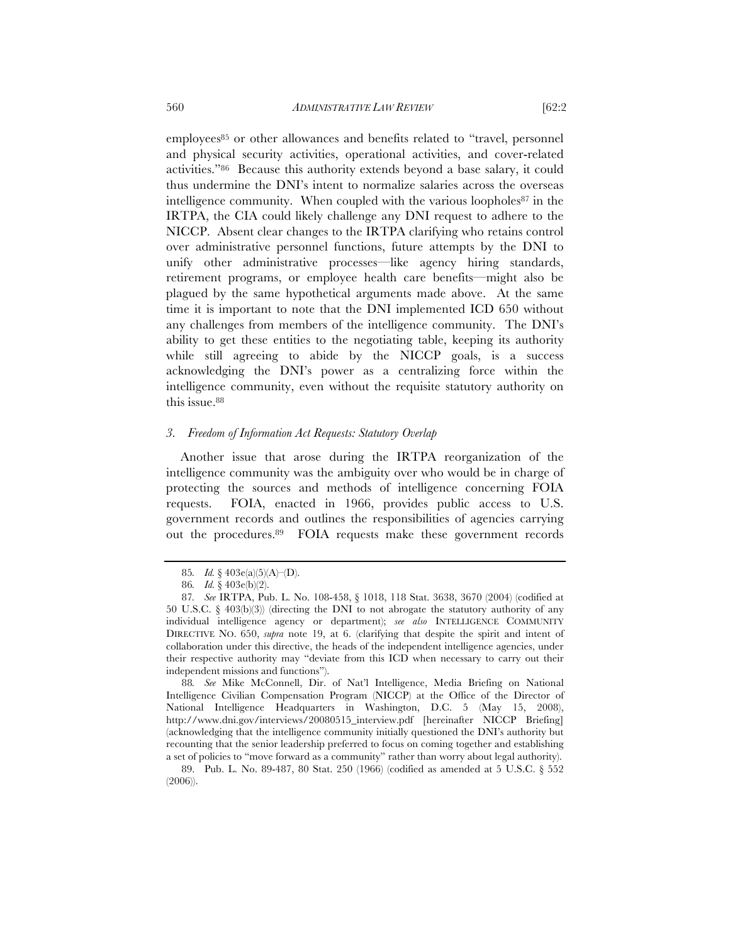employees85 or other allowances and benefits related to "travel, personnel and physical security activities, operational activities, and cover-related activities."86 Because this authority extends beyond a base salary, it could thus undermine the DNI's intent to normalize salaries across the overseas intelligence community. When coupled with the various loopholes  $87$  in the IRTPA, the CIA could likely challenge any DNI request to adhere to the NICCP. Absent clear changes to the IRTPA clarifying who retains control over administrative personnel functions, future attempts by the DNI to unify other administrative processes—like agency hiring standards, retirement programs, or employee health care benefits—might also be plagued by the same hypothetical arguments made above. At the same time it is important to note that the DNI implemented ICD 650 without any challenges from members of the intelligence community. The DNI's ability to get these entities to the negotiating table, keeping its authority while still agreeing to abide by the NICCP goals, is a success acknowledging the DNI's power as a centralizing force within the intelligence community, even without the requisite statutory authority on this issue.88

#### *3. Freedom of Information Act Requests: Statutory Overlap*

Another issue that arose during the IRTPA reorganization of the intelligence community was the ambiguity over who would be in charge of protecting the sources and methods of intelligence concerning FOIA requests. FOIA, enacted in 1966, provides public access to U.S. government records and outlines the responsibilities of agencies carrying out the procedures.89 FOIA requests make these government records

<sup>85</sup>*. Id.* § 403e(a)(5)(A)–(D).

<sup>86</sup>*. Id.* § 403e(b)(2).

<sup>87</sup>*. See* IRTPA, Pub. L. No. 108-458, § 1018, 118 Stat. 3638, 3670 (2004) (codified at 50 U.S.C.  $\S$  403(b)(3)) (directing the DNI to not abrogate the statutory authority of any individual intelligence agency or department); *see also* INTELLIGENCE COMMUNITY DIRECTIVE NO. 650, *supra* note 19, at 6. (clarifying that despite the spirit and intent of collaboration under this directive, the heads of the independent intelligence agencies, under their respective authority may "deviate from this ICD when necessary to carry out their independent missions and functions").

<sup>88</sup>*. See* Mike McConnell, Dir. of Nat'l Intelligence, Media Briefing on National Intelligence Civilian Compensation Program (NICCP) at the Office of the Director of National Intelligence Headquarters in Washington, D.C. 5 (May 15, 2008), http://www.dni.gov/interviews/20080515\_interview.pdf [hereinafter NICCP Briefing] (acknowledging that the intelligence community initially questioned the DNI's authority but recounting that the senior leadership preferred to focus on coming together and establishing a set of policies to "move forward as a community" rather than worry about legal authority).

<sup>89.</sup> Pub. L. No. 89-487, 80 Stat. 250 (1966) (codified as amended at 5 U.S.C. § 552 (2006)).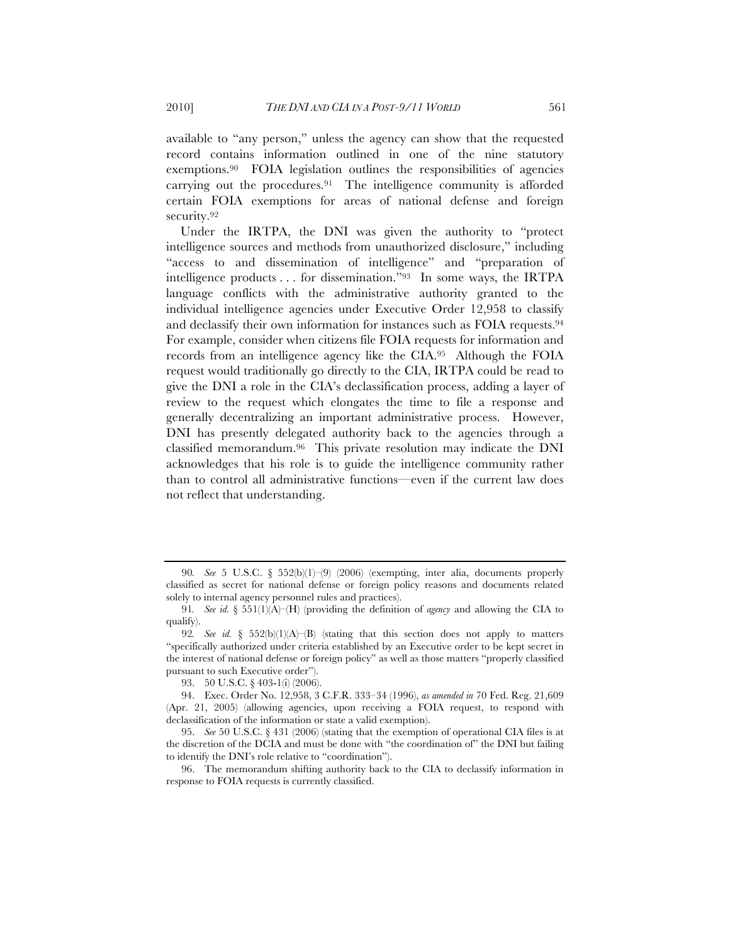available to "any person," unless the agency can show that the requested record contains information outlined in one of the nine statutory exemptions.90 FOIA legislation outlines the responsibilities of agencies carrying out the procedures.91 The intelligence community is afforded certain FOIA exemptions for areas of national defense and foreign security.92

Under the IRTPA, the DNI was given the authority to "protect intelligence sources and methods from unauthorized disclosure," including "access to and dissemination of intelligence" and "preparation of intelligence products . . . for dissemination."93 In some ways, the IRTPA language conflicts with the administrative authority granted to the individual intelligence agencies under Executive Order 12,958 to classify and declassify their own information for instances such as FOIA requests.94 For example, consider when citizens file FOIA requests for information and records from an intelligence agency like the CIA.95 Although the FOIA request would traditionally go directly to the CIA, IRTPA could be read to give the DNI a role in the CIA's declassification process, adding a layer of review to the request which elongates the time to file a response and generally decentralizing an important administrative process. However, DNI has presently delegated authority back to the agencies through a classified memorandum.96 This private resolution may indicate the DNI acknowledges that his role is to guide the intelligence community rather than to control all administrative functions—even if the current law does not reflect that understanding.

<sup>90</sup>*. See* 5 U.S.C. § 552(b)(1)–(9) (2006) (exempting, inter alia, documents properly classified as secret for national defense or foreign policy reasons and documents related solely to internal agency personnel rules and practices).

<sup>91</sup>*. See id.* § 551(1)(A)–(H) (providing the definition of *agency* and allowing the CIA to qualify).

<sup>92</sup>*. See id.* § 552(b)(1)(A)–(B) (stating that this section does not apply to matters "specifically authorized under criteria established by an Executive order to be kept secret in the interest of national defense or foreign policy" as well as those matters "properly classified pursuant to such Executive order").

<sup>93.</sup> 50 U.S.C. § 403-1(i) (2006).

<sup>94.</sup> Exec. Order No. 12,958, 3 C.F.R. 333–34 (1996), *as amended in* 70 Fed. Reg. 21,609 (Apr. 21, 2005) (allowing agencies, upon receiving a FOIA request, to respond with declassification of the information or state a valid exemption).

<sup>95.</sup> *See* 50 U.S.C. § 431 (2006) (stating that the exemption of operational CIA files is at the discretion of the DCIA and must be done with "the coordination of" the DNI but failing to identify the DNI's role relative to "coordination").

<sup>96.</sup> The memorandum shifting authority back to the CIA to declassify information in response to FOIA requests is currently classified.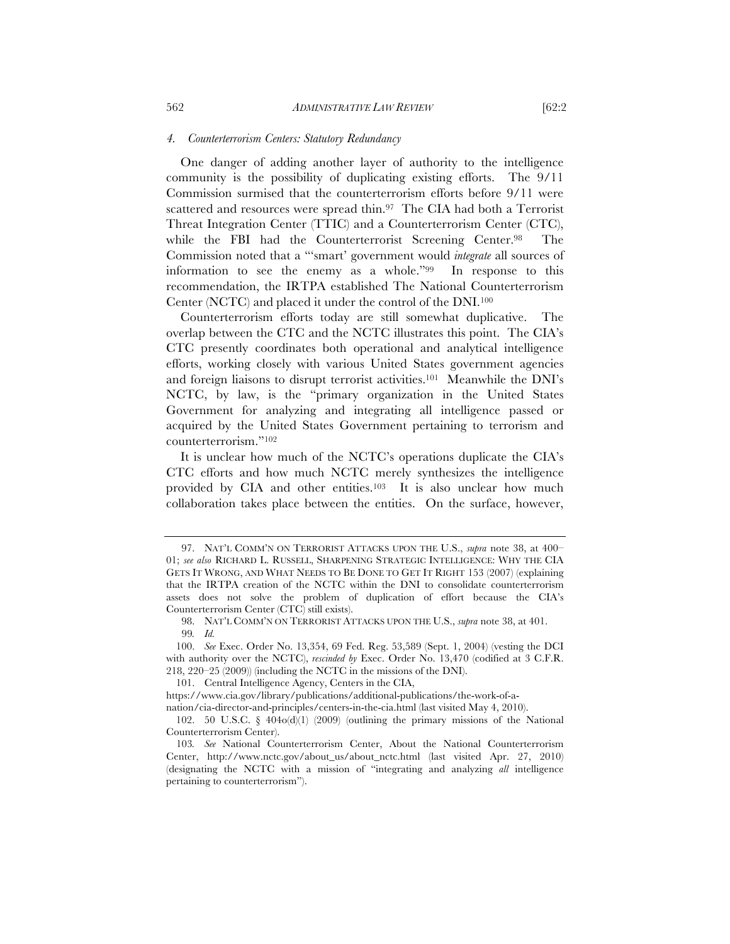## *4. Counterterrorism Centers: Statutory Redundancy*

One danger of adding another layer of authority to the intelligence community is the possibility of duplicating existing efforts. The 9/11 Commission surmised that the counterterrorism efforts before 9/11 were scattered and resources were spread thin.<sup>97</sup> The CIA had both a Terrorist Threat Integration Center (TTIC) and a Counterterrorism Center (CTC), while the FBI had the Counterterrorist Screening Center.98 The Commission noted that a "'smart' government would *integrate* all sources of information to see the enemy as a whole."99 In response to this recommendation, the IRTPA established The National Counterterrorism Center (NCTC) and placed it under the control of the DNI.100

Counterterrorism efforts today are still somewhat duplicative. The overlap between the CTC and the NCTC illustrates this point. The CIA's CTC presently coordinates both operational and analytical intelligence efforts, working closely with various United States government agencies and foreign liaisons to disrupt terrorist activities.101 Meanwhile the DNI's NCTC, by law, is the "primary organization in the United States Government for analyzing and integrating all intelligence passed or acquired by the United States Government pertaining to terrorism and counterterrorism."102

It is unclear how much of the NCTC's operations duplicate the CIA's CTC efforts and how much NCTC merely synthesizes the intelligence provided by CIA and other entities.<sup>103</sup> It is also unclear how much collaboration takes place between the entities. On the surface, however,

<sup>97.</sup> NAT'L COMM'N ON TERRORIST ATTACKS UPON THE U.S., *supra* note 38, at 400– 01; *see also* RICHARD L. RUSSELL, SHARPENING STRATEGIC INTELLIGENCE: WHY THE CIA GETS IT WRONG, AND WHAT NEEDS TO BE DONE TO GET IT RIGHT 153 (2007) (explaining that the IRTPA creation of the NCTC within the DNI to consolidate counterterrorism assets does not solve the problem of duplication of effort because the CIA's Counterterrorism Center (CTC) still exists).

<sup>98.</sup> NAT'L COMM'N ON TERRORIST ATTACKS UPON THE U.S., *supra* note 38, at 401. 99*. Id.*

<sup>100.</sup> *See* Exec. Order No. 13,354, 69 Fed. Reg. 53,589 (Sept. 1, 2004) (vesting the DCI with authority over the NCTC), *rescinded by* Exec. Order No. 13,470 (codified at 3 C.F.R. 218, 220–25 (2009)) (including the NCTC in the missions of the DNI).

<sup>101.</sup> Central Intelligence Agency, Centers in the CIA,

https://www.cia.gov/library/publications/additional-publications/the-work-of-a-

nation/cia-director-and-principles/centers-in-the-cia.html (last visited May 4, 2010).

<sup>102.</sup> 50 U.S.C. § 404o(d)(1) (2009) (outlining the primary missions of the National Counterterrorism Center).

<sup>103</sup>*. See* National Counterterrorism Center, About the National Counterterrorism Center, http://www.nctc.gov/about\_us/about\_nctc.html (last visited Apr. 27, 2010) (designating the NCTC with a mission of "integrating and analyzing *all* intelligence pertaining to counterterrorism").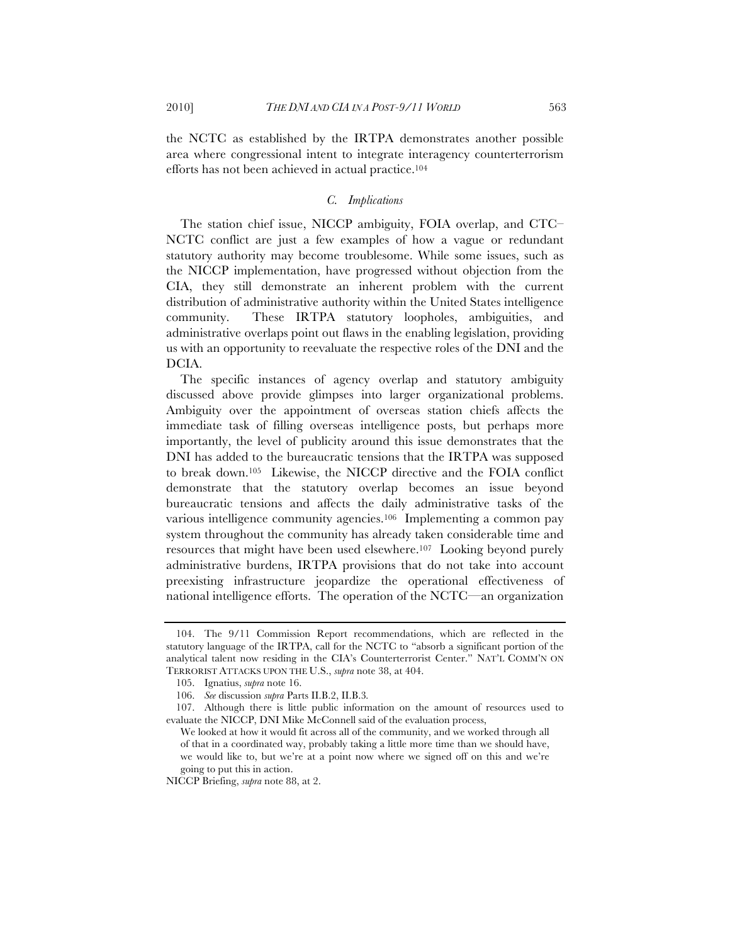the NCTC as established by the IRTPA demonstrates another possible area where congressional intent to integrate interagency counterterrorism efforts has not been achieved in actual practice.104

#### *C. Implications*

The station chief issue, NICCP ambiguity, FOIA overlap, and CTC– NCTC conflict are just a few examples of how a vague or redundant statutory authority may become troublesome. While some issues, such as the NICCP implementation, have progressed without objection from the CIA, they still demonstrate an inherent problem with the current distribution of administrative authority within the United States intelligence community. These IRTPA statutory loopholes, ambiguities, and administrative overlaps point out flaws in the enabling legislation, providing us with an opportunity to reevaluate the respective roles of the DNI and the DCIA.

The specific instances of agency overlap and statutory ambiguity discussed above provide glimpses into larger organizational problems. Ambiguity over the appointment of overseas station chiefs affects the immediate task of filling overseas intelligence posts, but perhaps more importantly, the level of publicity around this issue demonstrates that the DNI has added to the bureaucratic tensions that the IRTPA was supposed to break down.105 Likewise, the NICCP directive and the FOIA conflict demonstrate that the statutory overlap becomes an issue beyond bureaucratic tensions and affects the daily administrative tasks of the various intelligence community agencies.106 Implementing a common pay system throughout the community has already taken considerable time and resources that might have been used elsewhere.107 Looking beyond purely administrative burdens, IRTPA provisions that do not take into account preexisting infrastructure jeopardize the operational effectiveness of national intelligence efforts. The operation of the NCTC—an organization

<sup>104.</sup> The 9/11 Commission Report recommendations, which are reflected in the statutory language of the IRTPA, call for the NCTC to "absorb a significant portion of the analytical talent now residing in the CIA's Counterterrorist Center." NAT'L COMM'N ON TERRORIST ATTACKS UPON THE U.S., *supra* note 38, at 404.

<sup>105.</sup> Ignatius, *supra* note 16.

<sup>106.</sup> *See* discussion *supra* Parts II.B.2, II.B.3*.*

<sup>107.</sup> Although there is little public information on the amount of resources used to evaluate the NICCP, DNI Mike McConnell said of the evaluation process,

We looked at how it would fit across all of the community, and we worked through all of that in a coordinated way, probably taking a little more time than we should have, we would like to, but we're at a point now where we signed off on this and we're going to put this in action.

NICCP Briefing, *supra* note 88, at 2.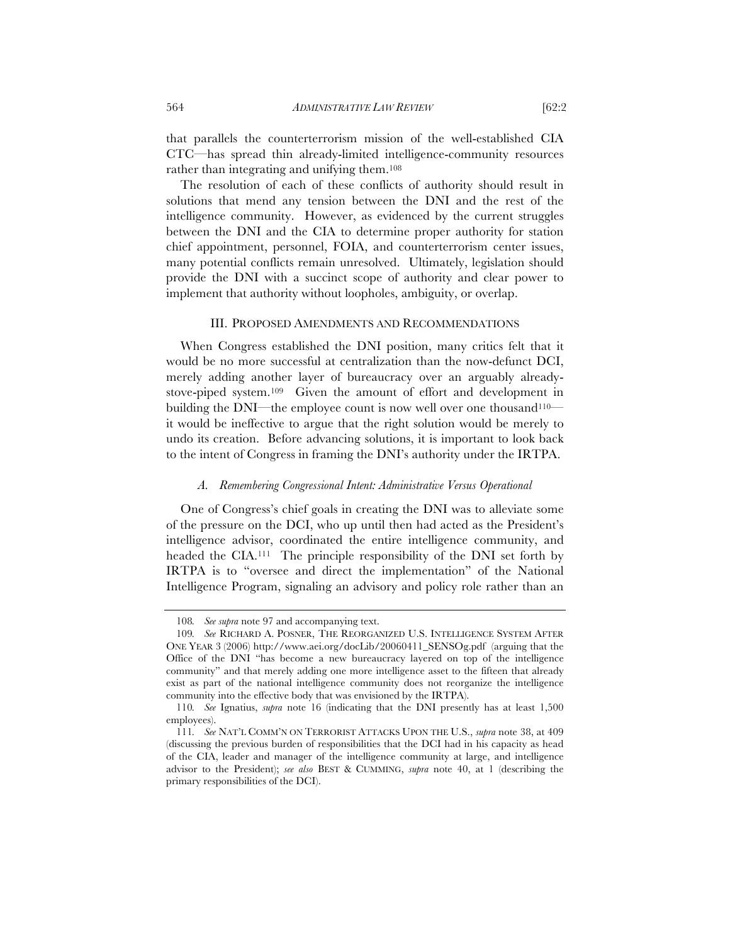that parallels the counterterrorism mission of the well-established CIA CTC—has spread thin already-limited intelligence-community resources rather than integrating and unifying them.108

The resolution of each of these conflicts of authority should result in solutions that mend any tension between the DNI and the rest of the intelligence community. However, as evidenced by the current struggles between the DNI and the CIA to determine proper authority for station chief appointment, personnel, FOIA, and counterterrorism center issues, many potential conflicts remain unresolved. Ultimately, legislation should provide the DNI with a succinct scope of authority and clear power to implement that authority without loopholes, ambiguity, or overlap.

#### III. PROPOSED AMENDMENTS AND RECOMMENDATIONS

When Congress established the DNI position, many critics felt that it would be no more successful at centralization than the now-defunct DCI, merely adding another layer of bureaucracy over an arguably alreadystove-piped system.109 Given the amount of effort and development in building the DNI—the employee count is now well over one thousand<sup>110—1</sup> it would be ineffective to argue that the right solution would be merely to undo its creation. Before advancing solutions, it is important to look back to the intent of Congress in framing the DNI's authority under the IRTPA.

### *A. Remembering Congressional Intent: Administrative Versus Operational*

One of Congress's chief goals in creating the DNI was to alleviate some of the pressure on the DCI, who up until then had acted as the President's intelligence advisor, coordinated the entire intelligence community, and headed the CIA.111 The principle responsibility of the DNI set forth by IRTPA is to "oversee and direct the implementation" of the National Intelligence Program, signaling an advisory and policy role rather than an

<sup>108</sup>*. See supra* note 97 and accompanying text.

<sup>109</sup>*. See* RICHARD A. POSNER, THE REORGANIZED U.S. INTELLIGENCE SYSTEM AFTER ONE YEAR 3 (2006) http://www.aei.org/docLib/20060411\_SENSOg.pdf (arguing that the Office of the DNI "has become a new bureaucracy layered on top of the intelligence community" and that merely adding one more intelligence asset to the fifteen that already exist as part of the national intelligence community does not reorganize the intelligence community into the effective body that was envisioned by the IRTPA).

<sup>110</sup>*. See* Ignatius, *supra* note 16 (indicating that the DNI presently has at least 1,500 employees).

<sup>111</sup>*. See* NAT'L COMM'N ON TERRORIST ATTACKS UPON THE U.S., *supra* note 38, at 409 (discussing the previous burden of responsibilities that the DCI had in his capacity as head of the CIA, leader and manager of the intelligence community at large, and intelligence advisor to the President); *see also* BEST & CUMMING, *supra* note 40, at 1 (describing the primary responsibilities of the DCI).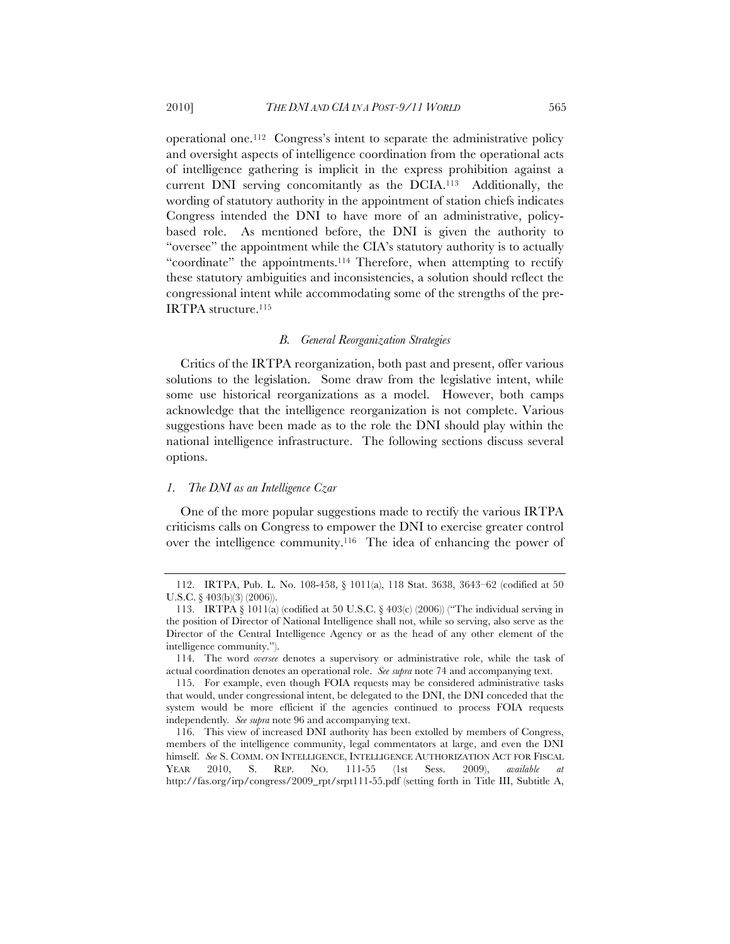operational one.112 Congress's intent to separate the administrative policy and oversight aspects of intelligence coordination from the operational acts of intelligence gathering is implicit in the express prohibition against a current DNI serving concomitantly as the DCIA.113 Additionally, the wording of statutory authority in the appointment of station chiefs indicates Congress intended the DNI to have more of an administrative, policybased role. As mentioned before, the DNI is given the authority to "oversee" the appointment while the CIA's statutory authority is to actually "coordinate" the appointments.114 Therefore, when attempting to rectify these statutory ambiguities and inconsistencies, a solution should reflect the congressional intent while accommodating some of the strengths of the pre-IRTPA structure.115

### *B. General Reorganization Strategies*

Critics of the IRTPA reorganization, both past and present, offer various solutions to the legislation. Some draw from the legislative intent, while some use historical reorganizations as a model. However, both camps acknowledge that the intelligence reorganization is not complete. Various suggestions have been made as to the role the DNI should play within the national intelligence infrastructure. The following sections discuss several options.

### *1. The DNI as an Intelligence Czar*

One of the more popular suggestions made to rectify the various IRTPA criticisms calls on Congress to empower the DNI to exercise greater control over the intelligence community.116 The idea of enhancing the power of

<sup>112.</sup> IRTPA, Pub. L. No. 108-458, § 1011(a), 118 Stat. 3638, 3643–62 (codified at 50 U.S.C. § 403(b)(3) (2006)).

<sup>113.</sup> IRTPA § 1011(a) (codified at 50 U.S.C. § 403(c) (2006)) ("The individual serving in the position of Director of National Intelligence shall not, while so serving, also serve as the Director of the Central Intelligence Agency or as the head of any other element of the intelligence community.").

<sup>114.</sup> The word *oversee* denotes a supervisory or administrative role, while the task of actual coordination denotes an operational role. *See supra* note 74 and accompanying text.

<sup>115.</sup> For example, even though FOIA requests may be considered administrative tasks that would, under congressional intent, be delegated to the DNI, the DNI conceded that the system would be more efficient if the agencies continued to process FOIA requests independently*. See supra* note 96 and accompanying text.

<sup>116.</sup> This view of increased DNI authority has been extolled by members of Congress, members of the intelligence community, legal commentators at large, and even the DNI himself. *See* S. COMM. ON INTELLIGENCE, INTELLIGENCE AUTHORIZATION ACT FOR FISCAL YEAR 2010, S. REP. NO. 111-55 (1st Sess. 2009), *available at* http://fas.org/irp/congress/2009\_rpt/srpt111-55.pdf (setting forth in Title III, Subtitle A,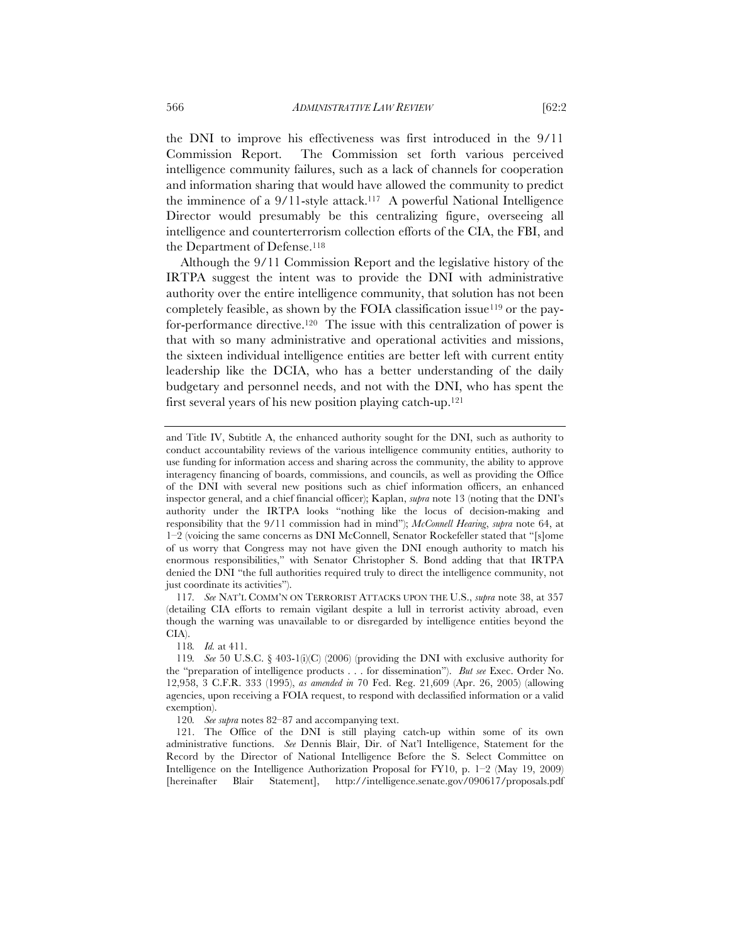the DNI to improve his effectiveness was first introduced in the 9/11 Commission Report. The Commission set forth various perceived intelligence community failures, such as a lack of channels for cooperation and information sharing that would have allowed the community to predict the imminence of a 9/11-style attack.117 A powerful National Intelligence Director would presumably be this centralizing figure, overseeing all intelligence and counterterrorism collection efforts of the CIA, the FBI, and the Department of Defense.<sup>118</sup>

Although the 9/11 Commission Report and the legislative history of the IRTPA suggest the intent was to provide the DNI with administrative authority over the entire intelligence community, that solution has not been completely feasible, as shown by the FOIA classification issue119 or the payfor-performance directive.120 The issue with this centralization of power is that with so many administrative and operational activities and missions, the sixteen individual intelligence entities are better left with current entity leadership like the DCIA, who has a better understanding of the daily budgetary and personnel needs, and not with the DNI, who has spent the first several years of his new position playing catch-up.121

117*. See* NAT'L COMM'N ON TERRORIST ATTACKS UPON THE U.S., *supra* note 38, at 357 (detailing CIA efforts to remain vigilant despite a lull in terrorist activity abroad, even though the warning was unavailable to or disregarded by intelligence entities beyond the CIA).

118*. Id.* at 411.

120*. See supra* notes 82–87 and accompanying text.

121. The Office of the DNI is still playing catch-up within some of its own administrative functions. *See* Dennis Blair, Dir. of Nat'l Intelligence, Statement for the Record by the Director of National Intelligence Before the S. Select Committee on Intelligence on the Intelligence Authorization Proposal for FY10, p. 1–2 (May 19, 2009) [hereinafter Blair Statement], http://intelligence.senate.gov/090617/proposals.pdf

and Title IV, Subtitle A, the enhanced authority sought for the DNI, such as authority to conduct accountability reviews of the various intelligence community entities, authority to use funding for information access and sharing across the community, the ability to approve interagency financing of boards, commissions, and councils, as well as providing the Office of the DNI with several new positions such as chief information officers, an enhanced inspector general, and a chief financial officer); Kaplan, *supra* note 13 (noting that the DNI's authority under the IRTPA looks "nothing like the locus of decision-making and responsibility that the 9/11 commission had in mind"); *McConnell Hearing*, *supra* note 64, at 1–2 (voicing the same concerns as DNI McConnell, Senator Rockefeller stated that "[s]ome of us worry that Congress may not have given the DNI enough authority to match his enormous responsibilities," with Senator Christopher S. Bond adding that that IRTPA denied the DNI "the full authorities required truly to direct the intelligence community, not just coordinate its activities").

<sup>119</sup>*. See* 50 U.S.C. § 403-1(i)(C) (2006) (providing the DNI with exclusive authority for the "preparation of intelligence products . . . for dissemination"). *But see* Exec. Order No. 12,958, 3 C.F.R. 333 (1995), *as amended in* 70 Fed. Reg. 21,609 (Apr. 26, 2005) (allowing agencies, upon receiving a FOIA request, to respond with declassified information or a valid exemption).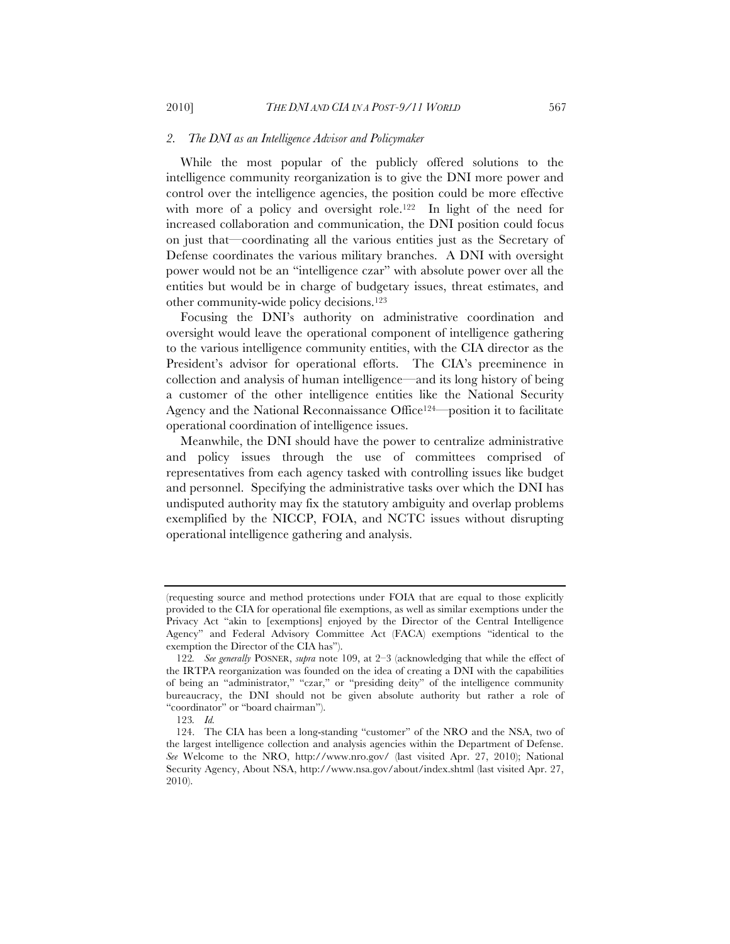### *2. The DNI as an Intelligence Advisor and Policymaker*

While the most popular of the publicly offered solutions to the intelligence community reorganization is to give the DNI more power and control over the intelligence agencies, the position could be more effective with more of a policy and oversight role.<sup>122</sup> In light of the need for increased collaboration and communication, the DNI position could focus on just that—coordinating all the various entities just as the Secretary of Defense coordinates the various military branches. A DNI with oversight power would not be an "intelligence czar" with absolute power over all the entities but would be in charge of budgetary issues, threat estimates, and other community-wide policy decisions.123

Focusing the DNI's authority on administrative coordination and oversight would leave the operational component of intelligence gathering to the various intelligence community entities, with the CIA director as the President's advisor for operational efforts. The CIA's preeminence in collection and analysis of human intelligence—and its long history of being a customer of the other intelligence entities like the National Security Agency and the National Reconnaissance Office<sup>124</sup>—position it to facilitate operational coordination of intelligence issues.

Meanwhile, the DNI should have the power to centralize administrative and policy issues through the use of committees comprised of representatives from each agency tasked with controlling issues like budget and personnel. Specifying the administrative tasks over which the DNI has undisputed authority may fix the statutory ambiguity and overlap problems exemplified by the NICCP, FOIA, and NCTC issues without disrupting operational intelligence gathering and analysis.

<sup>(</sup>requesting source and method protections under FOIA that are equal to those explicitly provided to the CIA for operational file exemptions, as well as similar exemptions under the Privacy Act "akin to [exemptions] enjoyed by the Director of the Central Intelligence Agency" and Federal Advisory Committee Act (FACA) exemptions "identical to the exemption the Director of the CIA has").

<sup>122</sup>*. See generally* POSNER, *supra* note 109, at 2–3 (acknowledging that while the effect of the IRTPA reorganization was founded on the idea of creating a DNI with the capabilities of being an "administrator," "czar," or "presiding deity" of the intelligence community bureaucracy, the DNI should not be given absolute authority but rather a role of "coordinator" or "board chairman").

<sup>123</sup>*. Id.*

<sup>124.</sup> The CIA has been a long-standing "customer" of the NRO and the NSA, two of the largest intelligence collection and analysis agencies within the Department of Defense. *See* Welcome to the NRO, http://www.nro.gov/ (last visited Apr. 27, 2010); National Security Agency, About NSA, http://www.nsa.gov/about/index.shtml (last visited Apr. 27, 2010).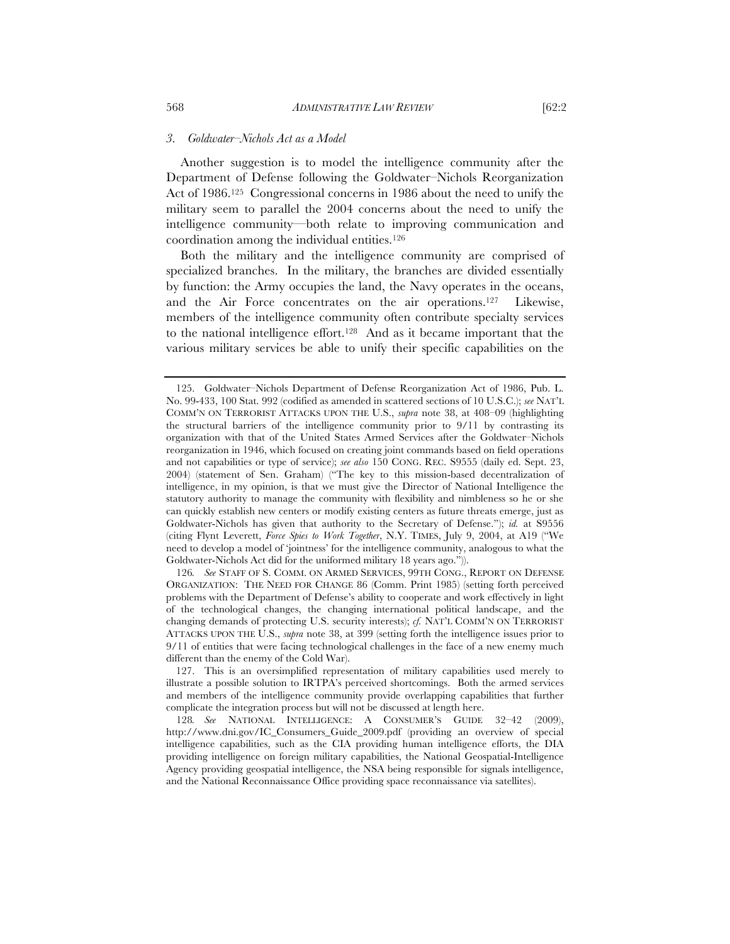#### *3. Goldwater–Nichols Act as a Model*

Another suggestion is to model the intelligence community after the Department of Defense following the Goldwater–Nichols Reorganization Act of 1986.125 Congressional concerns in 1986 about the need to unify the military seem to parallel the 2004 concerns about the need to unify the intelligence community—both relate to improving communication and coordination among the individual entities.126

Both the military and the intelligence community are comprised of specialized branches. In the military, the branches are divided essentially by function: the Army occupies the land, the Navy operates in the oceans, and the Air Force concentrates on the air operations.127 Likewise, members of the intelligence community often contribute specialty services to the national intelligence effort.128 And as it became important that the various military services be able to unify their specific capabilities on the

<sup>125.</sup> Goldwater–Nichols Department of Defense Reorganization Act of 1986, Pub. L. No. 99-433, 100 Stat. 992 (codified as amended in scattered sections of 10 U.S.C.); *see* NAT'L COMM'N ON TERRORIST ATTACKS UPON THE U.S., *supra* note 38, at 408–09 (highlighting the structural barriers of the intelligence community prior to 9/11 by contrasting its organization with that of the United States Armed Services after the Goldwater–Nichols reorganization in 1946, which focused on creating joint commands based on field operations and not capabilities or type of service); *see also* 150 CONG. REC. S9555 (daily ed. Sept. 23, 2004) (statement of Sen. Graham) ("The key to this mission-based decentralization of intelligence, in my opinion, is that we must give the Director of National Intelligence the statutory authority to manage the community with flexibility and nimbleness so he or she can quickly establish new centers or modify existing centers as future threats emerge, just as Goldwater-Nichols has given that authority to the Secretary of Defense."); *id.* at S9556 (citing Flynt Leverett, *Force Spies to Work Together*, N.Y. TIMES, July 9, 2004, at A19 ("We need to develop a model of 'jointness' for the intelligence community, analogous to what the Goldwater-Nichols Act did for the uniformed military 18 years ago.")).

<sup>126</sup>*. See* STAFF OF S. COMM. ON ARMED SERVICES, 99TH CONG., REPORT ON DEFENSE ORGANIZATION: THE NEED FOR CHANGE 86 (Comm. Print 1985) (setting forth perceived problems with the Department of Defense's ability to cooperate and work effectively in light of the technological changes, the changing international political landscape, and the changing demands of protecting U.S. security interests); *cf.* NAT'L COMM'N ON TERRORIST ATTACKS UPON THE U.S., *supra* note 38, at 399 (setting forth the intelligence issues prior to 9/11 of entities that were facing technological challenges in the face of a new enemy much different than the enemy of the Cold War).

<sup>127.</sup> This is an oversimplified representation of military capabilities used merely to illustrate a possible solution to IRTPA's perceived shortcomings. Both the armed services and members of the intelligence community provide overlapping capabilities that further complicate the integration process but will not be discussed at length here.

<sup>128</sup>*. See* NATIONAL INTELLIGENCE: A CONSUMER'S GUIDE 32–42 (2009), http://www.dni.gov/IC\_Consumers\_Guide\_2009.pdf (providing an overview of special intelligence capabilities, such as the CIA providing human intelligence efforts, the DIA providing intelligence on foreign military capabilities, the National Geospatial-Intelligence Agency providing geospatial intelligence, the NSA being responsible for signals intelligence, and the National Reconnaissance Office providing space reconnaissance via satellites).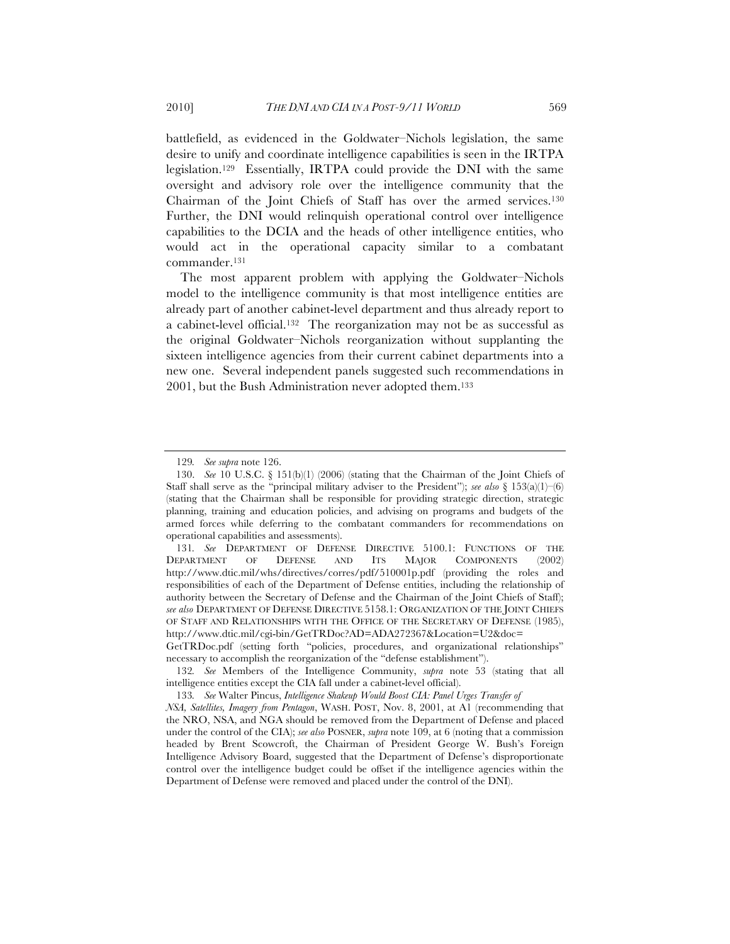battlefield, as evidenced in the Goldwater–Nichols legislation, the same desire to unify and coordinate intelligence capabilities is seen in the IRTPA legislation.129 Essentially, IRTPA could provide the DNI with the same oversight and advisory role over the intelligence community that the Chairman of the Joint Chiefs of Staff has over the armed services.130 Further, the DNI would relinquish operational control over intelligence capabilities to the DCIA and the heads of other intelligence entities, who would act in the operational capacity similar to a combatant commander.131

The most apparent problem with applying the Goldwater–Nichols model to the intelligence community is that most intelligence entities are already part of another cabinet-level department and thus already report to a cabinet-level official.132 The reorganization may not be as successful as the original Goldwater–Nichols reorganization without supplanting the sixteen intelligence agencies from their current cabinet departments into a new one. Several independent panels suggested such recommendations in 2001, but the Bush Administration never adopted them.133

<sup>129</sup>*. See supra* note 126.

<sup>130.</sup> *See* 10 U.S.C. § 151(b)(1) (2006) (stating that the Chairman of the Joint Chiefs of Staff shall serve as the "principal military adviser to the President"); *see also* § 153(a)(1)–(6) (stating that the Chairman shall be responsible for providing strategic direction, strategic planning, training and education policies, and advising on programs and budgets of the armed forces while deferring to the combatant commanders for recommendations on operational capabilities and assessments).

<sup>131</sup>*. See* DEPARTMENT OF DEFENSE DIRECTIVE 5100.1: FUNCTIONS OF THE DEPARTMENT OF DEFENSE AND ITS MAJOR COMPONENTS (2002) http://www.dtic.mil/whs/directives/corres/pdf/510001p.pdf (providing the roles and responsibilities of each of the Department of Defense entities, including the relationship of authority between the Secretary of Defense and the Chairman of the Joint Chiefs of Staff); *see also* DEPARTMENT OF DEFENSE DIRECTIVE 5158.1: ORGANIZATION OF THE JOINT CHIEFS OF STAFF AND RELATIONSHIPS WITH THE OFFICE OF THE SECRETARY OF DEFENSE (1985), http://www.dtic.mil/cgi-bin/GetTRDoc?AD=ADA272367&Location=U2&doc=

GetTRDoc.pdf (setting forth "policies, procedures, and organizational relationships" necessary to accomplish the reorganization of the "defense establishment").

<sup>132</sup>*. See* Members of the Intelligence Community, *supra* note 53 (stating that all intelligence entities except the CIA fall under a cabinet-level official).

<sup>133</sup>*. See* Walter Pincus, *Intelligence Shakeup Would Boost CIA: Panel Urges Transfer of* 

*NSA, Satellites, Imagery from Pentagon*, WASH. POST, Nov. 8, 2001, at A1 (recommending that the NRO, NSA, and NGA should be removed from the Department of Defense and placed under the control of the CIA); *see also* POSNER, *supra* note 109, at 6 (noting that a commission headed by Brent Scowcroft, the Chairman of President George W. Bush's Foreign Intelligence Advisory Board, suggested that the Department of Defense's disproportionate control over the intelligence budget could be offset if the intelligence agencies within the Department of Defense were removed and placed under the control of the DNI).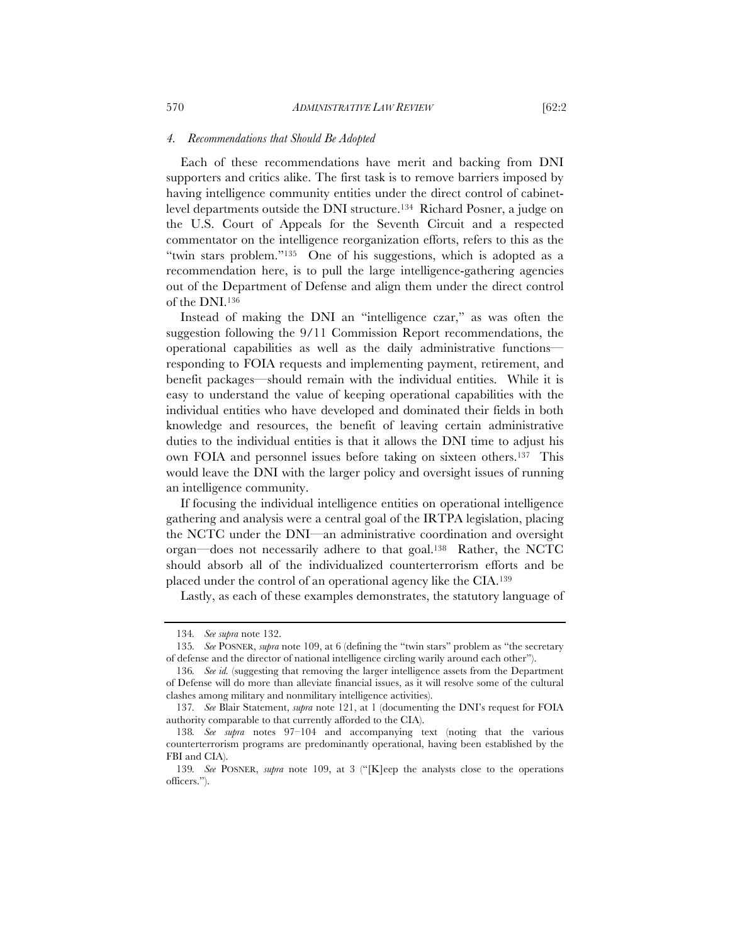#### *4. Recommendations that Should Be Adopted*

Each of these recommendations have merit and backing from DNI supporters and critics alike. The first task is to remove barriers imposed by having intelligence community entities under the direct control of cabinetlevel departments outside the DNI structure.134 Richard Posner, a judge on the U.S. Court of Appeals for the Seventh Circuit and a respected commentator on the intelligence reorganization efforts, refers to this as the "twin stars problem."135 One of his suggestions, which is adopted as a recommendation here, is to pull the large intelligence-gathering agencies out of the Department of Defense and align them under the direct control of the DNI.136

Instead of making the DNI an "intelligence czar," as was often the suggestion following the 9/11 Commission Report recommendations, the operational capabilities as well as the daily administrative functions responding to FOIA requests and implementing payment, retirement, and benefit packages—should remain with the individual entities. While it is easy to understand the value of keeping operational capabilities with the individual entities who have developed and dominated their fields in both knowledge and resources, the benefit of leaving certain administrative duties to the individual entities is that it allows the DNI time to adjust his own FOIA and personnel issues before taking on sixteen others.137 This would leave the DNI with the larger policy and oversight issues of running an intelligence community.

If focusing the individual intelligence entities on operational intelligence gathering and analysis were a central goal of the IRTPA legislation, placing the NCTC under the DNI—an administrative coordination and oversight organ—does not necessarily adhere to that goal.138 Rather, the NCTC should absorb all of the individualized counterterrorism efforts and be placed under the control of an operational agency like the CIA.139

Lastly, as each of these examples demonstrates, the statutory language of

<sup>134</sup>*. See supra* note 132.

<sup>135</sup>*. See* POSNER, *supra* note 109, at 6 (defining the "twin stars" problem as "the secretary of defense and the director of national intelligence circling warily around each other").

<sup>136</sup>*. See id.* (suggesting that removing the larger intelligence assets from the Department of Defense will do more than alleviate financial issues, as it will resolve some of the cultural clashes among military and nonmilitary intelligence activities).

<sup>137</sup>*. See* Blair Statement, *supra* note 121, at 1 (documenting the DNI's request for FOIA authority comparable to that currently afforded to the CIA).

<sup>138</sup>*. See supra* notes 97–104 and accompanying text (noting that the various counterterrorism programs are predominantly operational, having been established by the FBI and CIA).

<sup>139</sup>*. See* POSNER, *supra* note 109, at 3 ("[K]eep the analysts close to the operations officers.").